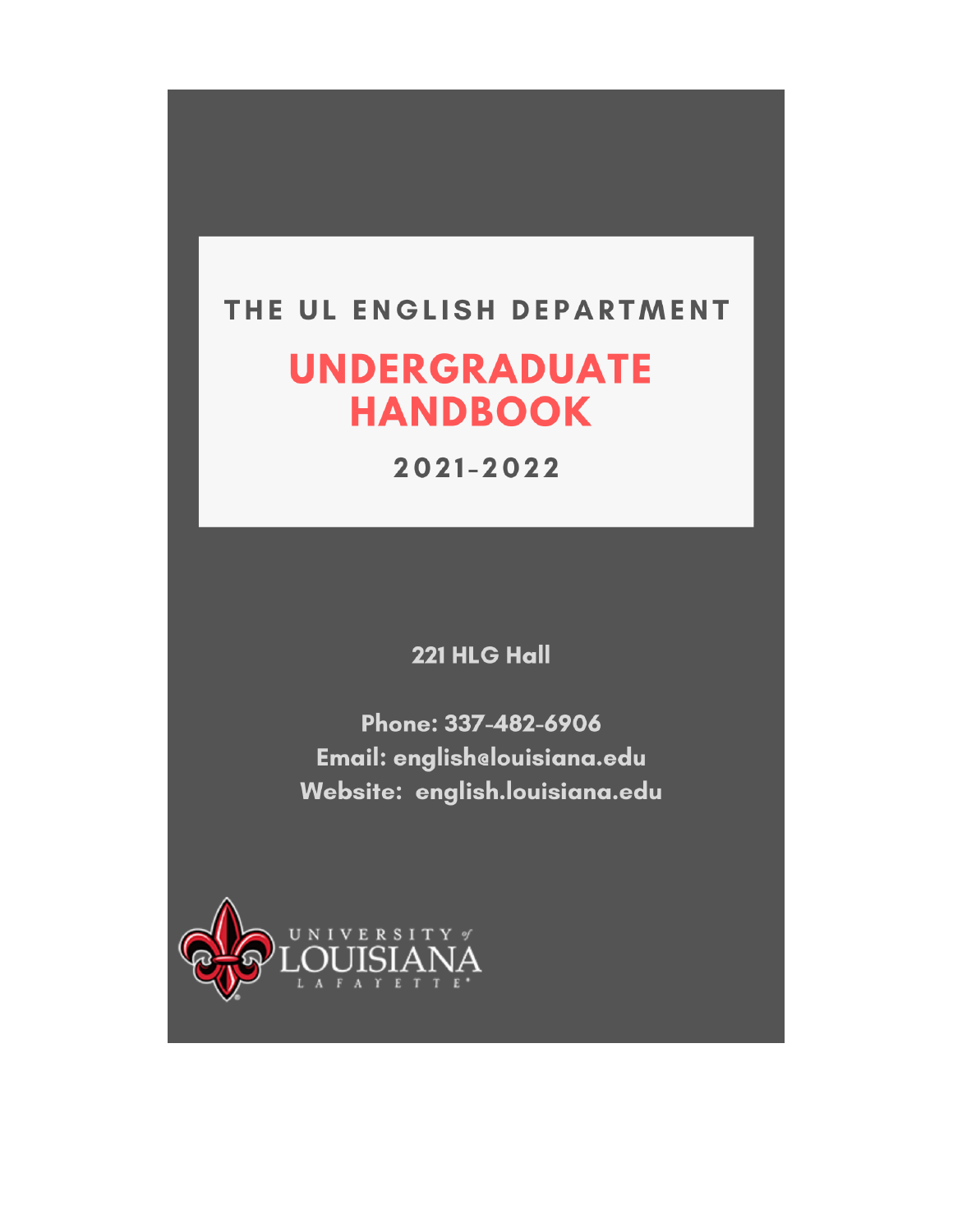## THE UL ENGLISH DEPARTMENT

# **UNDERGRADUATE HANDBOOK**

2021-2022

221 HLG Hall

Phone: 337-482-6906 Email: englishelouisiana.edu Website: english.louisiana.edu

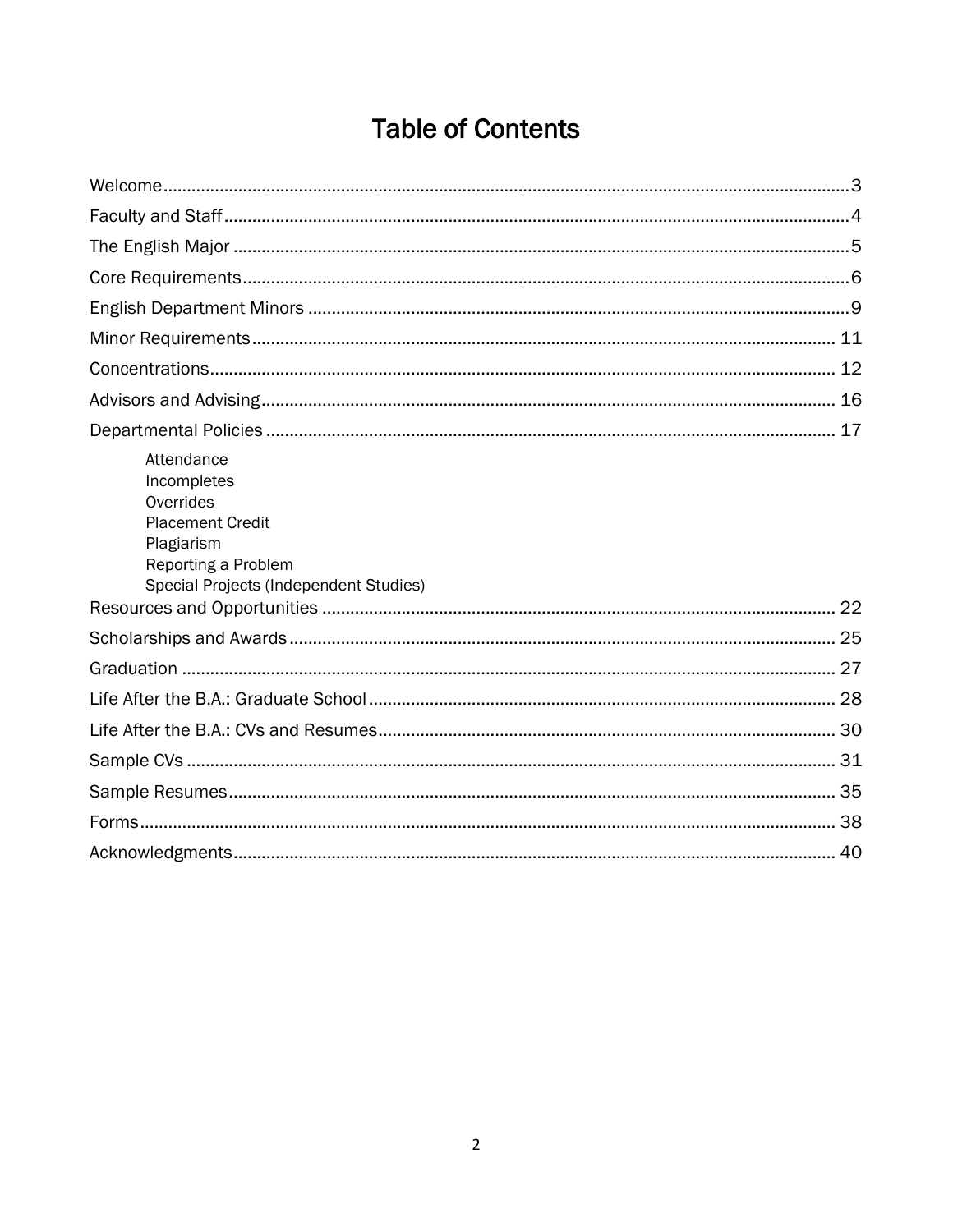## **Table of Contents**

| Attendance<br>Incompletes<br>Overrides<br><b>Placement Credit</b><br>Plagiarism<br>Reporting a Problem<br>Special Projects (Independent Studies) |  |
|--------------------------------------------------------------------------------------------------------------------------------------------------|--|
|                                                                                                                                                  |  |
|                                                                                                                                                  |  |
|                                                                                                                                                  |  |
|                                                                                                                                                  |  |
|                                                                                                                                                  |  |
|                                                                                                                                                  |  |
|                                                                                                                                                  |  |
|                                                                                                                                                  |  |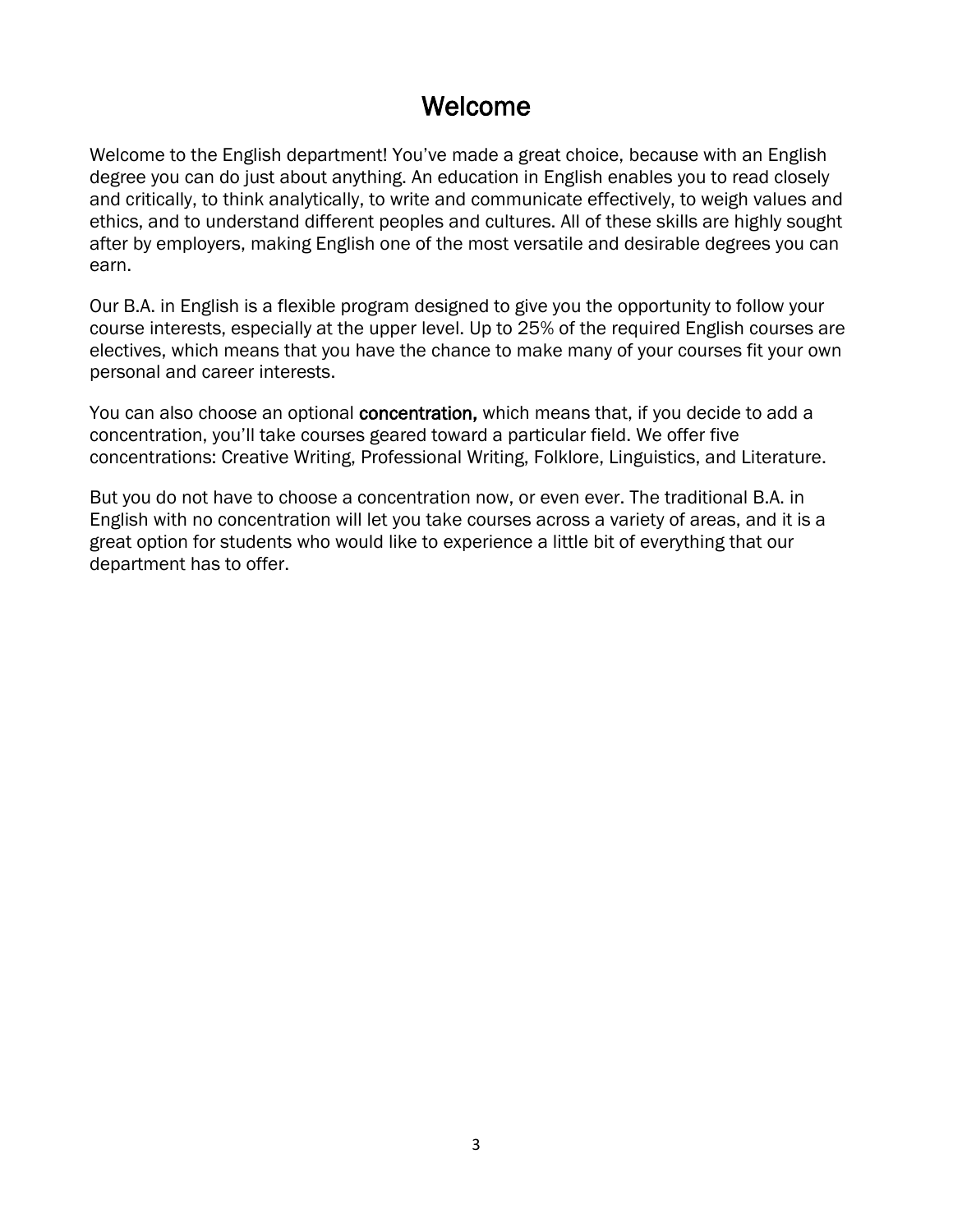## Welcome

<span id="page-2-0"></span>Welcome to the English department! You've made a great choice, because with an English degree you can do just about anything. An education in English enables you to read closely and critically, to think analytically, to write and communicate effectively, to weigh values and ethics, and to understand different peoples and cultures. All of these skills are highly sought after by employers, making English one of the most versatile and desirable degrees you can earn.

Our B.A. in English is a flexible program designed to give you the opportunity to follow your course interests, especially at the upper level. Up to 25% of the required English courses are electives, which means that you have the chance to make many of your courses fit your own personal and career interests.

You can also choose an optional concentration, which means that, if you decide to add a concentration, you'll take courses geared toward a particular field. We offer five concentrations: Creative Writing, Professional Writing, Folklore, Linguistics, and Literature.

But you do not have to choose a concentration now, or even ever. The traditional B.A. in English with no concentration will let you take courses across a variety of areas, and it is a great option for students who would like to experience a little bit of everything that our department has to offer.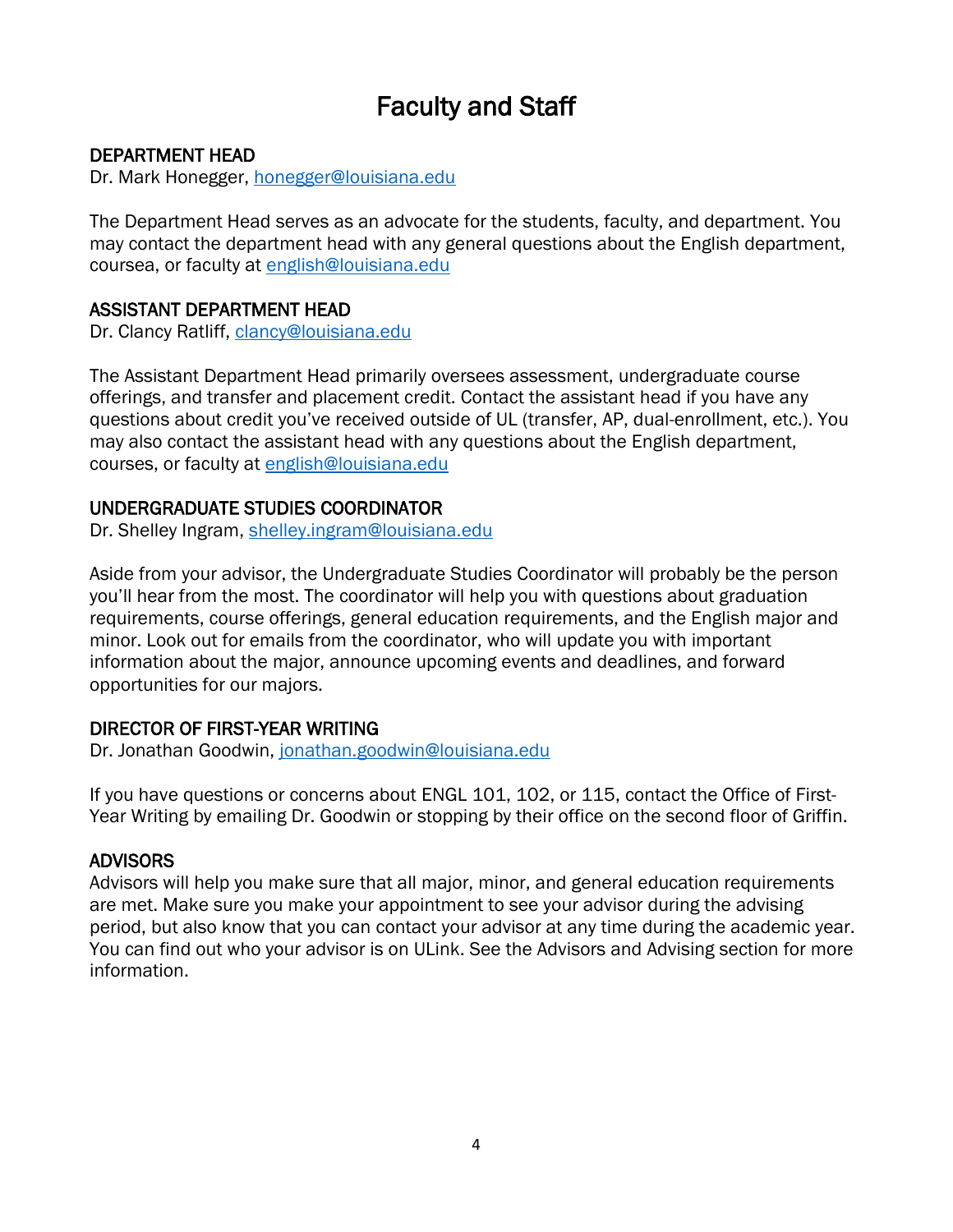## Faculty and Staff

#### <span id="page-3-0"></span>DEPARTMENT HEAD

Dr. Mark Honegger, [honegger@louisiana.edu](mailto:honegger@louisiana.edu)

The Department Head serves as an advocate for the students, faculty, and department. You may contact the department head with any general questions about the English department, coursea, or faculty at [english@louisiana.edu](mailto:english@louisiana.edu) 

#### ASSISTANT DEPARTMENT HEAD

Dr. Clancy Ratliff, [clancy@louisiana.edu](mailto:clancy@louisiana.edu)

The Assistant Department Head primarily oversees assessment, undergraduate course offerings, and transfer and placement credit. Contact the assistant head if you have any questions about credit you've received outside of UL (transfer, AP, dual-enrollment, etc.). You may also contact the assistant head with any questions about the English department, courses, or faculty at [english@louisiana.edu](mailto:english@louisiana.edu) 

#### UNDERGRADUATE STUDIES COORDINATOR

Dr. Shelley Ingram, [shelley.ingram@louisiana.edu](mailto:shelley.ingram@louisiana.edu)

Aside from your advisor, the Undergraduate Studies Coordinator will probably be the person you'll hear from the most. The coordinator will help you with questions about graduation requirements, course offerings, general education requirements, and the English major and minor. Look out for emails from the coordinator, who will update you with important information about the major, announce upcoming events and deadlines, and forward opportunities for our majors.

#### DIRECTOR OF FIRST-YEAR WRITING

Dr. Jonathan Goodwin, [jonathan.goodwin@louisiana.edu](mailto:jonathan.goodwin@louisiana.edu)

If you have questions or concerns about ENGL 101, 102, or 115, contact the Office of First-Year Writing by emailing Dr. Goodwin or stopping by their office on the second floor of Griffin.

#### ADVISORS

Advisors will help you make sure that all major, minor, and general education requirements are met. Make sure you make your appointment to see your advisor during the advising period, but also know that you can contact your advisor at any time during the academic year. You can find out who your advisor is on ULink. See the Advisors and Advising section for more information.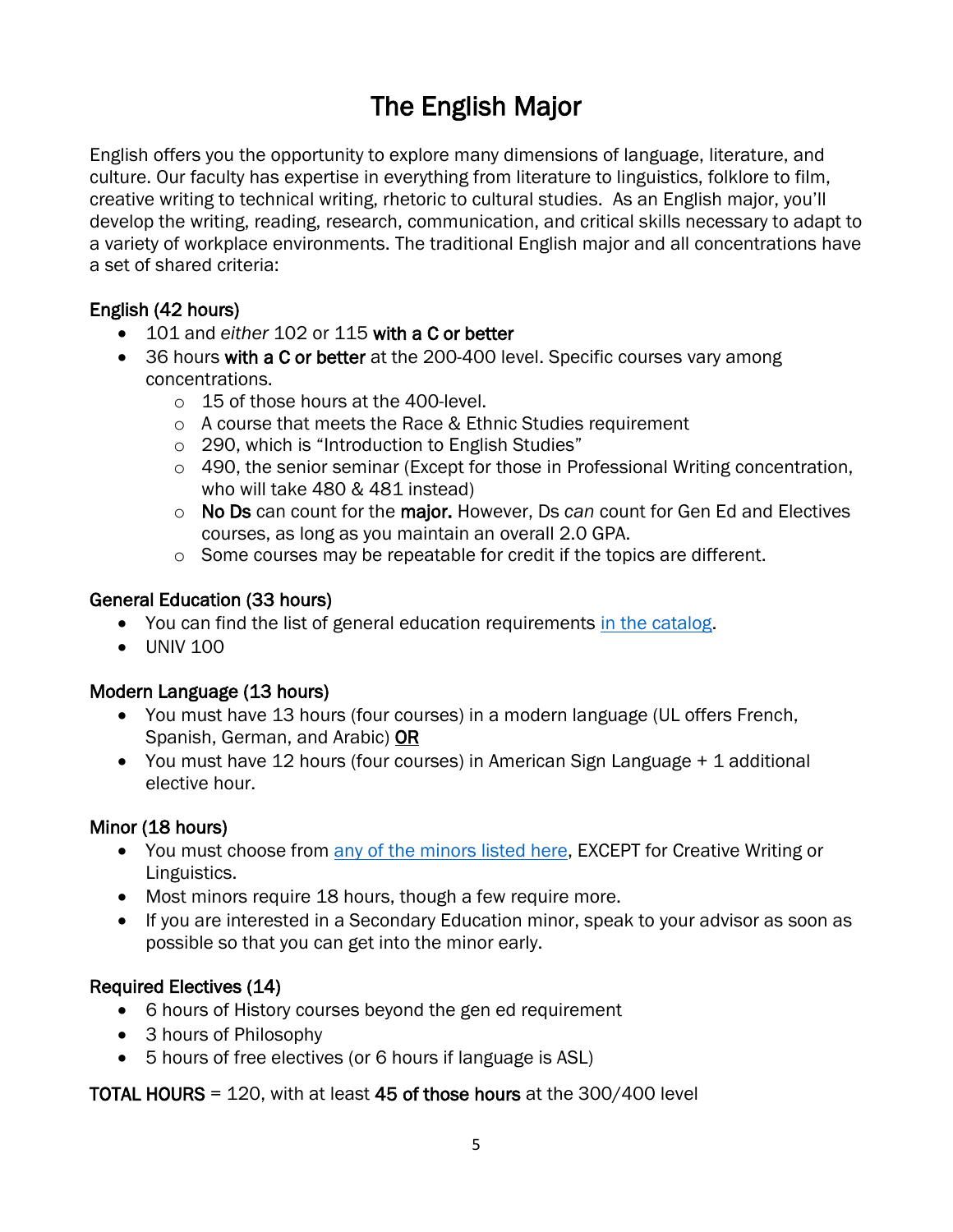## The English Major

<span id="page-4-0"></span>English offers you the opportunity to explore many dimensions of language, literature, and culture. Our faculty has expertise in everything from literature to linguistics, folklore to film, creative writing to technical writing, rhetoric to cultural studies. As an English major, you'll develop the writing, reading, research, communication, and critical skills necessary to adapt to a variety of workplace environments. The traditional English major and all concentrations have a set of shared criteria:

## English (42 hours)

- 101 and *either* 102 or 115 with a C or better
- 36 hours with a C or better at the 200-400 level. Specific courses vary among concentrations.
	- o 15 of those hours at the 400-level.
	- o A course that meets the Race & Ethnic Studies requirement
	- o 290, which is "Introduction to English Studies"
	- $\circ$  490, the senior seminar (Except for those in Professional Writing concentration, who will take 480 & 481 instead)
	- o No Ds can count for the major. However, Ds *can* count for Gen Ed and Electives courses, as long as you maintain an overall 2.0 GPA.
	- o Some courses may be repeatable for credit if the topics are different.

## General Education (33 hours)

- You can find the list of general education requirements [in the catalog.](https://catalog.louisiana.edu/preview_program.php?catoid=20&poid=9703)
- UNIV 100

## Modern Language (13 hours)

- You must have 13 hours (four courses) in a modern language (UL offers French, Spanish, German, and Arabic) OR
- You must have 12 hours (four courses) in American Sign Language + 1 additional elective hour.

## Minor (18 hours)

- You must choose from [any of the minors listed here,](https://catalog.louisiana.edu/content.php?catoid=20&navoid=7304) EXCEPT for Creative Writing or Linguistics.
- Most minors require 18 hours, though a few require more.
- If you are interested in a Secondary Education minor, speak to your advisor as soon as possible so that you can get into the minor early.

## Required Electives (14)

- 6 hours of History courses beyond the gen ed requirement
- 3 hours of Philosophy
- 5 hours of free electives (or 6 hours if language is ASL)

## TOTAL HOURS = 120, with at least 45 of those hours at the 300/400 level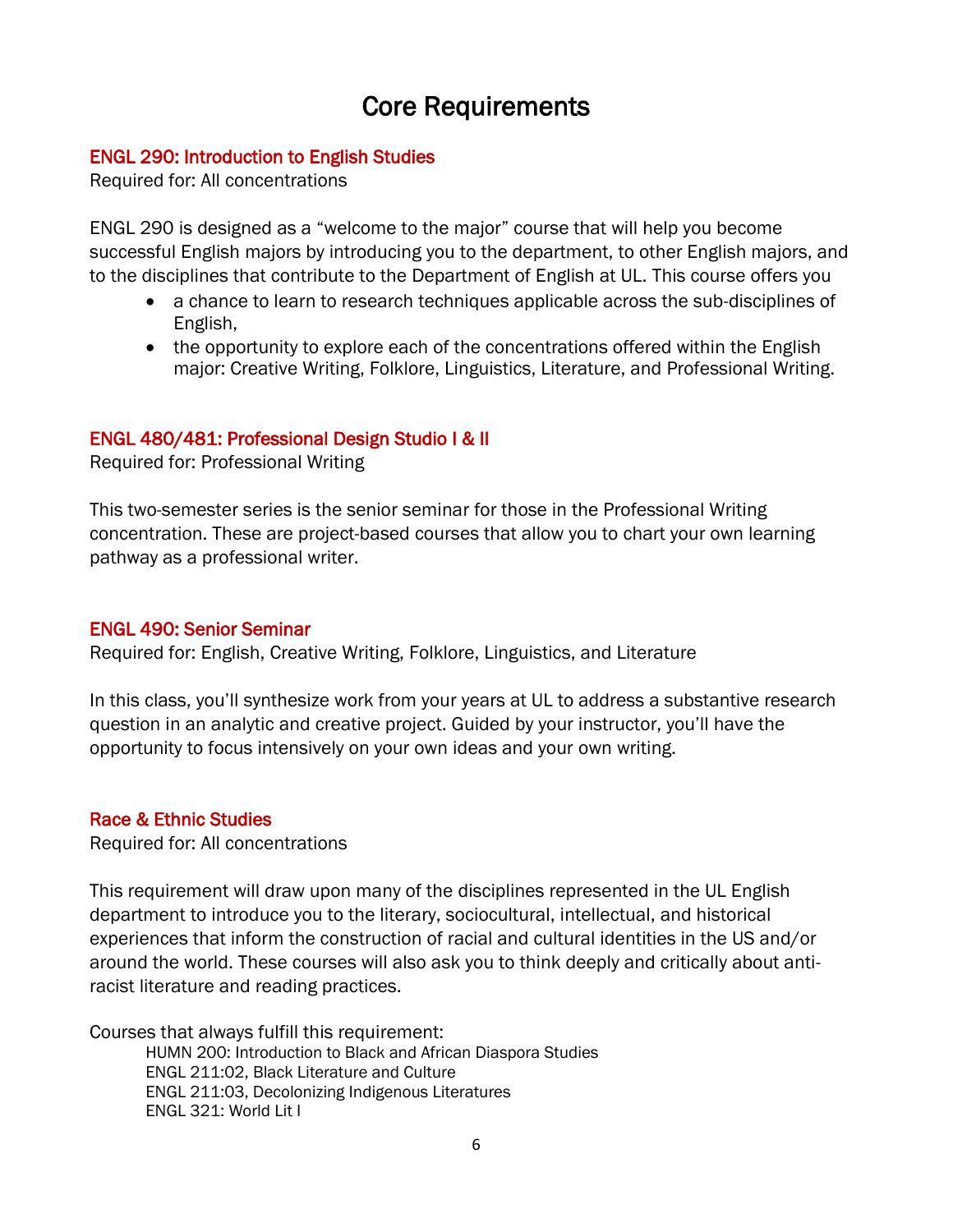## Core Requirements

#### <span id="page-5-0"></span>ENGL 290: Introduction to English Studies

Required for: All concentrations

ENGL 290 is designed as a "welcome to the major" course that will help you become successful English majors by introducing you to the department, to other English majors, and to the disciplines that contribute to the Department of English at UL. This course offers you

- a chance to learn to research techniques applicable across the sub-disciplines of English,
- the opportunity to explore each of the concentrations offered within the English major: Creative Writing, Folklore, Linguistics, Literature, and Professional Writing.

#### ENGL 480/481: Professional Design Studio I & II

Required for: Professional Writing

This two-semester series is the senior seminar for those in the Professional Writing concentration. These are project-based courses that allow you to chart your own learning pathway as a professional writer.

#### ENGL 490: Senior Seminar

Required for: English, Creative Writing, Folklore, Linguistics, and Literature

In this class, you'll synthesize work from your years at UL to address a substantive research question in an analytic and creative project. Guided by your instructor, you'll have the opportunity to focus intensively on your own ideas and your own writing.

#### Race & Ethnic Studies

Required for: All concentrations

This requirement will draw upon many of the disciplines represented in the UL English department to introduce you to the literary, sociocultural, intellectual, and historical experiences that inform the construction of racial and cultural identities in the US and/or around the world. These courses will also ask you to think deeply and critically about antiracist literature and reading practices.

Courses that always fulfill this requirement: HUMN 200: Introduction to Black and African Diaspora Studies ENGL 211:02, Black Literature and Culture ENGL 211:03, Decolonizing Indigenous Literatures ENGL 321: World Lit I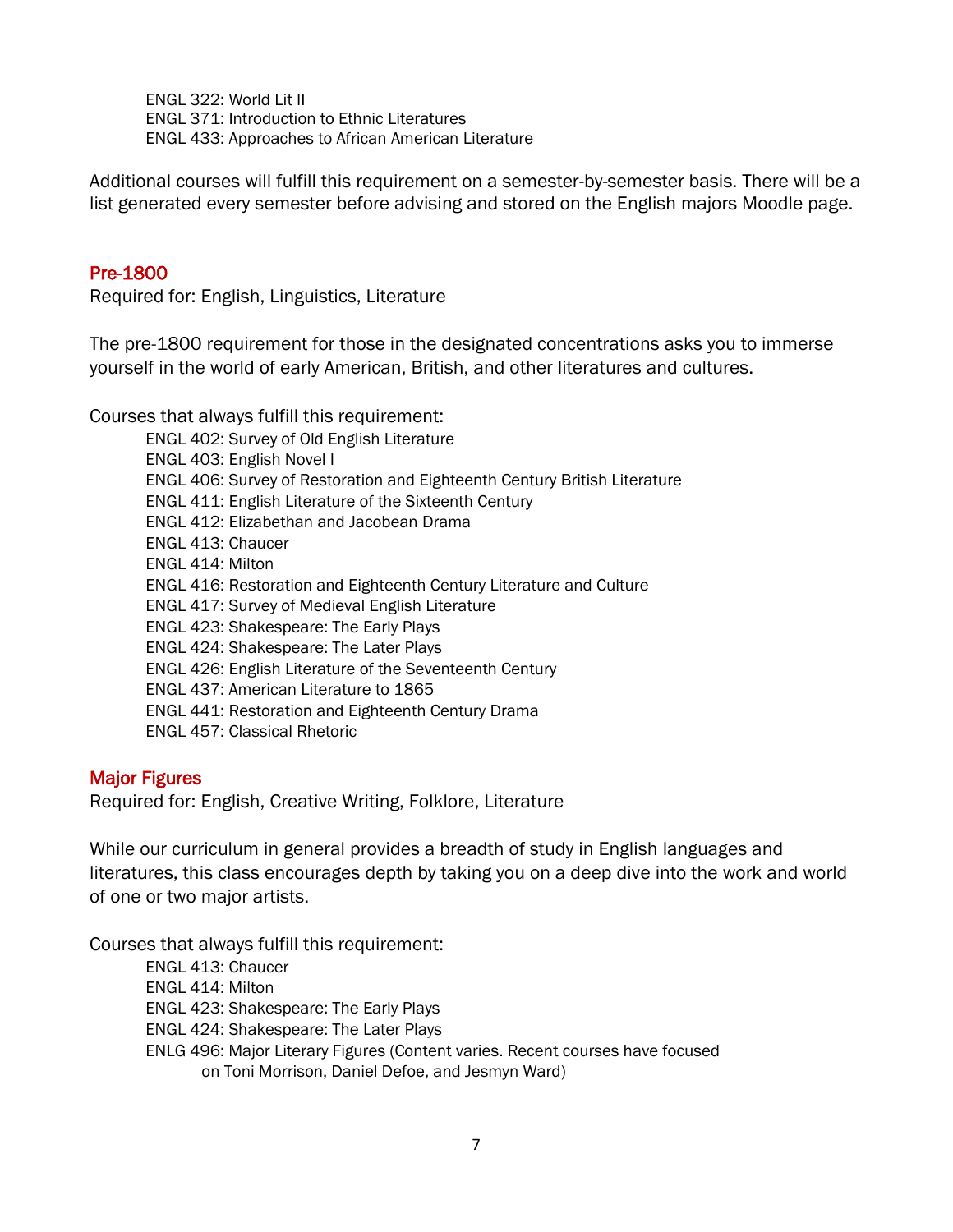ENGL 322: World Lit II ENGL 371: Introduction to Ethnic Literatures ENGL 433: Approaches to African American Literature

Additional courses will fulfill this requirement on a semester-by-semester basis. There will be a list generated every semester before advising and stored on the English majors Moodle page.

#### Pre-1800

Required for: English, Linguistics, Literature

The pre-1800 requirement for those in the designated concentrations asks you to immerse yourself in the world of early American, British, and other literatures and cultures.

Courses that always fulfill this requirement: ENGL 402: Survey of Old English Literature ENGL 403: English Novel I ENGL 406: Survey of Restoration and Eighteenth Century British Literature ENGL 411: English Literature of the Sixteenth Century ENGL 412: Elizabethan and Jacobean Drama ENGL 413: Chaucer ENGL 414: Milton ENGL 416: Restoration and Eighteenth Century Literature and Culture ENGL 417: Survey of Medieval English Literature ENGL 423: Shakespeare: The Early Plays ENGL 424: Shakespeare: The Later Plays ENGL 426: English Literature of the Seventeenth Century ENGL 437: American Literature to 1865 ENGL 441: Restoration and Eighteenth Century Drama ENGL 457: Classical Rhetoric

#### Major Figures

Required for: English, Creative Writing, Folklore, Literature

While our curriculum in general provides a breadth of study in English languages and literatures, this class encourages depth by taking you on a deep dive into the work and world of one or two major artists.

Courses that always fulfill this requirement:

ENGL 413: Chaucer ENGL 414: Milton ENGL 423: Shakespeare: The Early Plays ENGL 424: Shakespeare: The Later Plays ENLG 496: Major Literary Figures (Content varies. Recent courses have focused on Toni Morrison, Daniel Defoe, and Jesmyn Ward)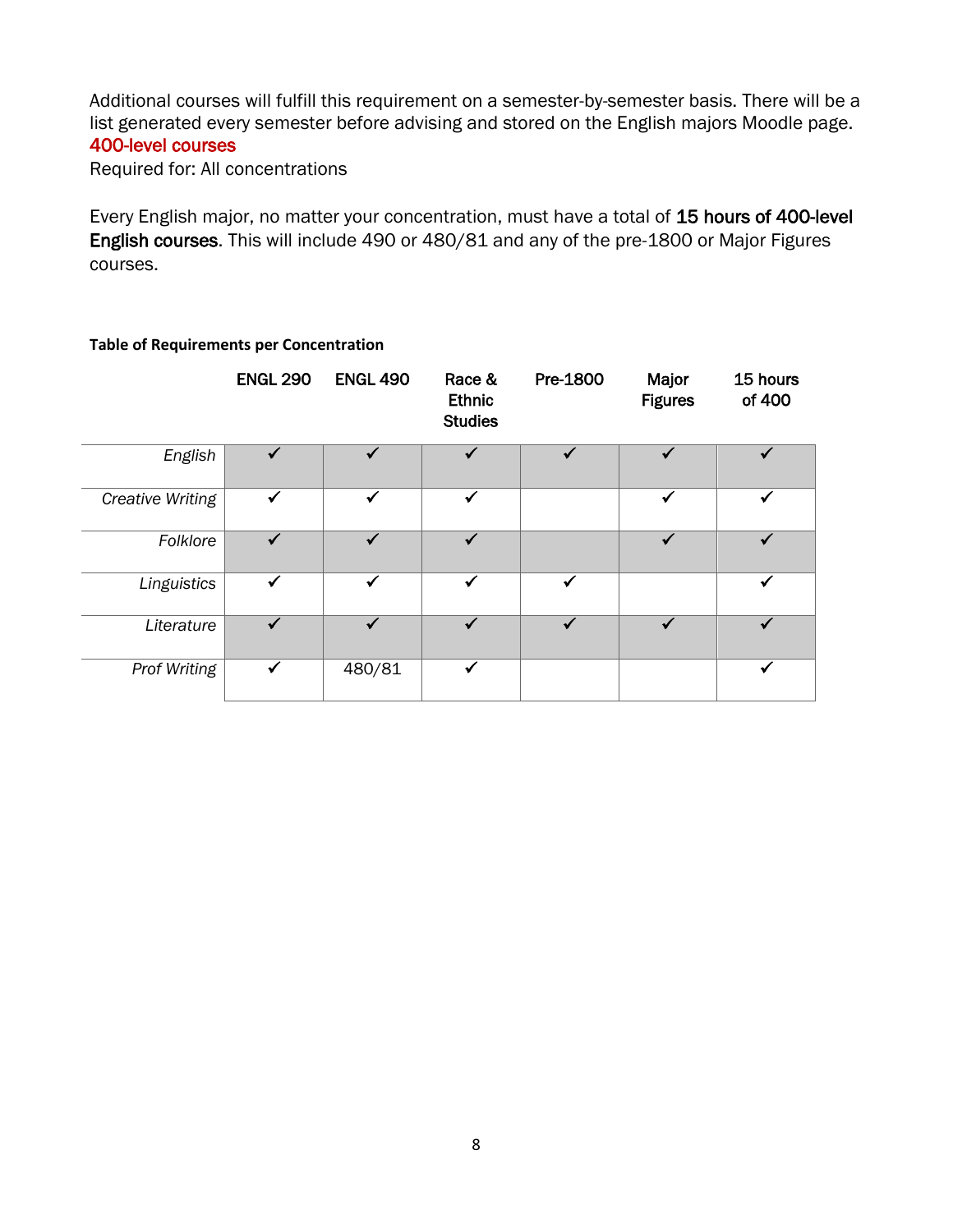Additional courses will fulfill this requirement on a semester-by-semester basis. There will be a list generated every semester before advising and stored on the English majors Moodle page. 400-level courses

Required for: All concentrations

Every English major, no matter your concentration, must have a total of 15 hours of 400-level English courses. This will include 490 or 480/81 and any of the pre-1800 or Major Figures courses.

|                  | <b>ENGL 290</b> | <b>ENGL 490</b> | Race &<br><b>Ethnic</b><br><b>Studies</b> | Pre-1800     | Major<br><b>Figures</b> | 15 hours<br>of 400 |
|------------------|-----------------|-----------------|-------------------------------------------|--------------|-------------------------|--------------------|
| English          |                 |                 |                                           |              | ✔                       |                    |
| Creative Writing | $\checkmark$    | ✓               | $\checkmark$                              |              | ✓                       | ✔                  |
| Folklore         | ✓               | ✓               | ✓                                         |              | ✓                       | ✓                  |
| Linguistics      | ✓               | $\checkmark$    | $\checkmark$                              | $\checkmark$ |                         | ✓                  |
| Literature       |                 | ✓               | ✓                                         | ✓            | ✓                       |                    |
| Prof Writing     | ✓               | 480/81          | $\checkmark$                              |              |                         | $\checkmark$       |

#### **Table of Requirements per Concentration**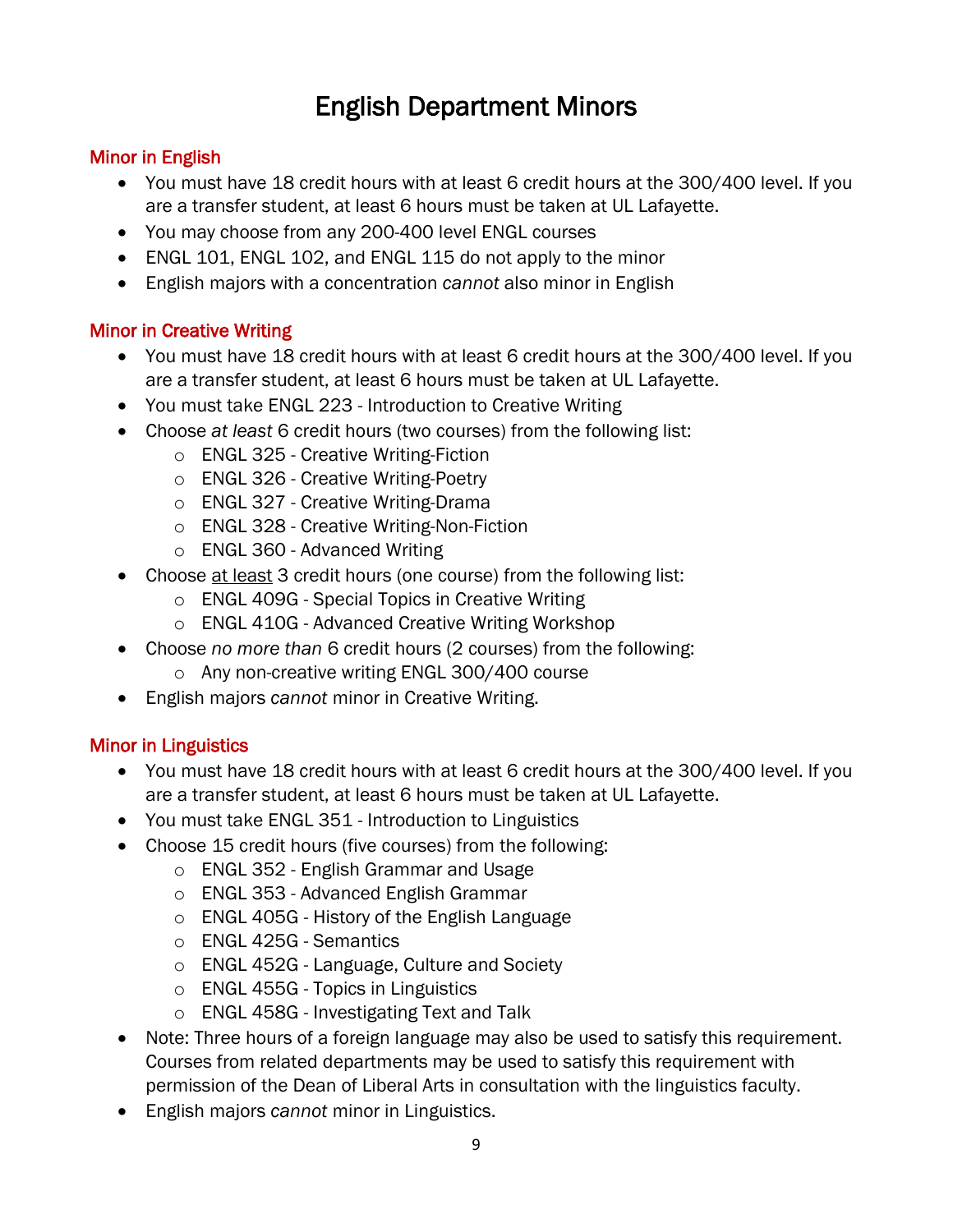## English Department Minors

## <span id="page-8-0"></span>Minor in English

- You must have 18 credit hours with at least 6 credit hours at the 300/400 level. If you are a transfer student, at least 6 hours must be taken at UL Lafayette.
- You may choose from any 200-400 level ENGL courses
- ENGL 101, ENGL 102, and ENGL 115 do not apply to the minor
- English majors with a concentration *cannot* also minor in English

## Minor in Creative Writing

- You must have 18 credit hours with at least 6 credit hours at the 300/400 level. If you are a transfer student, at least 6 hours must be taken at UL Lafayette.
- You must take ENGL 223 Introduction to Creative Writing
- Choose *at least* 6 credit hours (two courses) from the following list:
	- o ENGL 325 Creative Writing-Fiction
	- o ENGL 326 Creative Writing-Poetry
	- o ENGL 327 Creative Writing-Drama
	- o ENGL 328 Creative Writing-Non-Fiction
	- o ENGL 360 Advanced Writing
- Choose at least 3 credit hours (one course) from the following list:
	- o ENGL 409G Special Topics in Creative Writing
	- o ENGL 410G Advanced Creative Writing Workshop
- Choose *no more than* 6 credit hours (2 courses) from the following:
	- o Any non-creative writing ENGL 300/400 course
- English majors *cannot* minor in Creative Writing.

## Minor in Linguistics

- You must have 18 credit hours with at least 6 credit hours at the 300/400 level. If you are a transfer student, at least 6 hours must be taken at UL Lafayette.
- You must take ENGL 351 Introduction to Linguistics
- Choose 15 credit hours (five courses) from the following:
	- o ENGL 352 English Grammar and Usage
	- o ENGL 353 Advanced English Grammar
	- o ENGL 405G History of the English Language
	- o ENGL 425G Semantics
	- o ENGL 452G Language, Culture and Society
	- o ENGL 455G Topics in Linguistics
	- o ENGL 458G Investigating Text and Talk
- Note: Three hours of a foreign language may also be used to satisfy this requirement. Courses from related departments may be used to satisfy this requirement with permission of the Dean of Liberal Arts in consultation with the linguistics faculty.
- English majors *cannot* minor in Linguistics.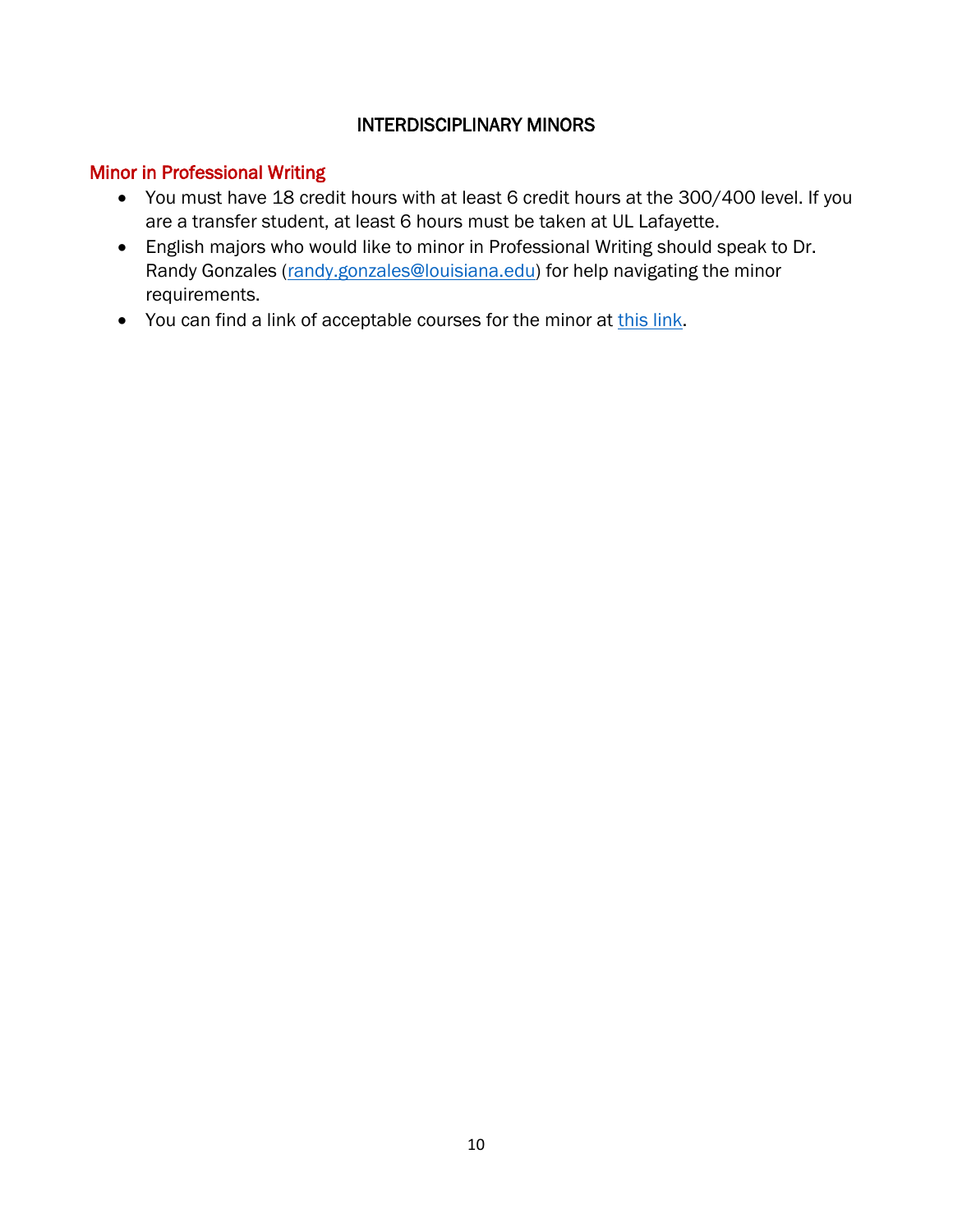## INTERDISCIPLINARY MINORS

## Minor in Professional Writing

- You must have 18 credit hours with at least 6 credit hours at the 300/400 level. If you are a transfer student, at least 6 hours must be taken at UL Lafayette.
- English majors who would like to minor in Professional Writing should speak to Dr. Randy Gonzales [\(randy.gonzales@louisiana.edu\)](mailto:randy.gonzales@louisiana.edu) for help navigating the minor requirements.
- You can find a link of acceptable courses for the minor at [this link.](https://catalog.louisiana.edu/preview_program.php?catoid=20&poid=9624)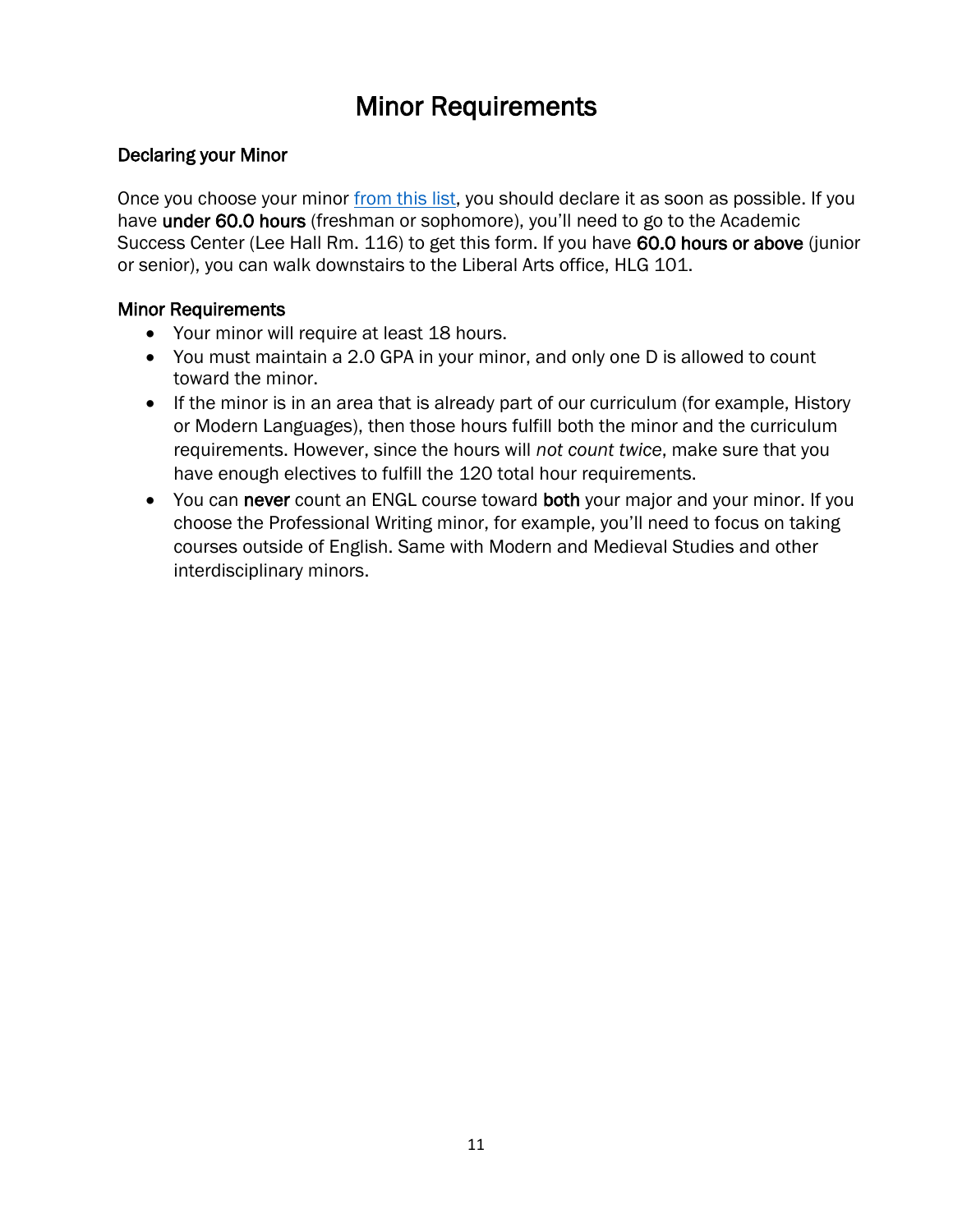## Minor Requirements

## <span id="page-10-0"></span>Declaring your Minor

Once you choose your minor [from this list,](https://catalog.louisiana.edu/content.php?catoid=20&navoid=7304) you should declare it as soon as possible. If you have under 60.0 hours (freshman or sophomore), you'll need to go to the Academic Success Center (Lee Hall Rm. 116) to get this form. If you have 60.0 hours or above (junior or senior), you can walk downstairs to the Liberal Arts office, HLG 101.

## Minor Requirements

- Your minor will require at least 18 hours.
- You must maintain a 2.0 GPA in your minor, and only one D is allowed to count toward the minor.
- If the minor is in an area that is already part of our curriculum (for example, History or Modern Languages), then those hours fulfill both the minor and the curriculum requirements. However, since the hours will *not count twice*, make sure that you have enough electives to fulfill the 120 total hour requirements.
- You can never count an ENGL course toward both your major and your minor. If you choose the Professional Writing minor, for example, you'll need to focus on taking courses outside of English. Same with Modern and Medieval Studies and other interdisciplinary minors.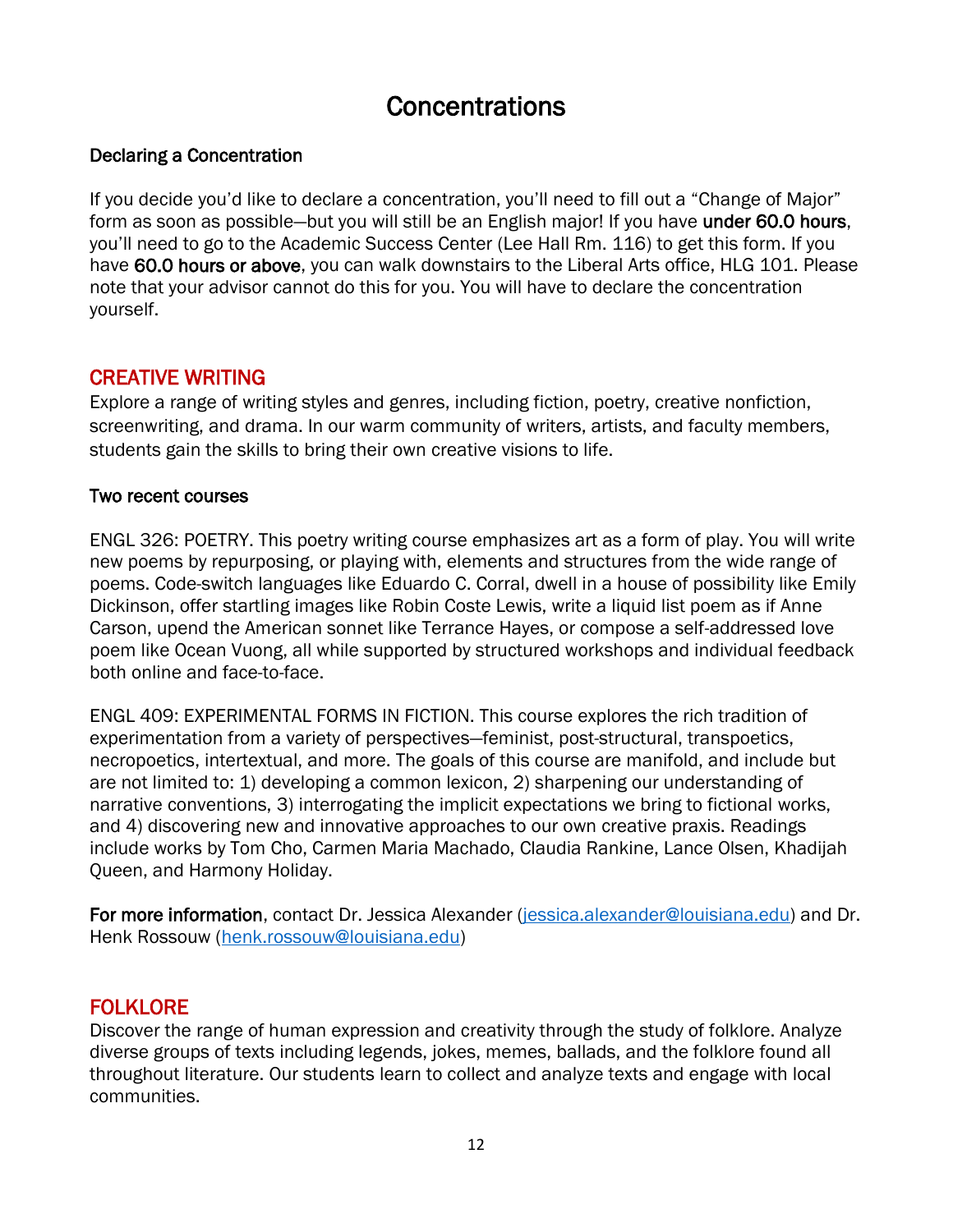## **Concentrations**

### <span id="page-11-0"></span>Declaring a Concentration

If you decide you'd like to declare a concentration, you'll need to fill out a "Change of Major" form as soon as possible—but you will still be an English major! If you have under 60.0 hours, you'll need to go to the Academic Success Center (Lee Hall Rm. 116) to get this form. If you have 60.0 hours or above, you can walk downstairs to the Liberal Arts office, HLG 101. Please note that your advisor cannot do this for you. You will have to declare the concentration yourself.

## CREATIVE WRITING

Explore a range of writing styles and genres, including fiction, poetry, creative nonfiction, screenwriting, and drama. In our warm community of writers, artists, and faculty members, students gain the skills to bring their own creative visions to life.

#### Two recent courses

ENGL 326: POETRY. This poetry writing course emphasizes art as a form of play. You will write new poems by repurposing, or playing with, elements and structures from the wide range of poems. Code-switch languages like Eduardo C. Corral, dwell in a house of possibility like Emily Dickinson, offer startling images like Robin Coste Lewis, write a liquid list poem as if Anne Carson, upend the American sonnet like Terrance Hayes, or compose a self-addressed love poem like Ocean Vuong, all while supported by structured workshops and individual feedback both online and face-to-face.

ENGL 409: EXPERIMENTAL FORMS IN FICTION. This course explores the rich tradition of experimentation from a variety of perspectives—feminist, post-structural, transpoetics, necropoetics, intertextual, and more. The goals of this course are manifold, and include but are not limited to: 1) developing a common lexicon, 2) sharpening our understanding of narrative conventions, 3) interrogating the implicit expectations we bring to fictional works, and 4) discovering new and innovative approaches to our own creative praxis. Readings include works by Tom Cho, Carmen Maria Machado, Claudia Rankine, Lance Olsen, Khadijah Queen, and Harmony Holiday.

For more information, contact Dr. Jessica Alexander [\(jessica.alexander@louisiana.edu\)](mailto:jessica.alexander@louisiana.edu) and Dr. Henk Rossouw [\(henk.rossouw@louisiana.edu\)](mailto:henk.rossouw@louisiana.edu)

## **FOLKLORE**

Discover the range of human expression and creativity through the study of folklore. Analyze diverse groups of texts including legends, jokes, memes, ballads, and the folklore found all throughout literature. Our students learn to collect and analyze texts and engage with local communities.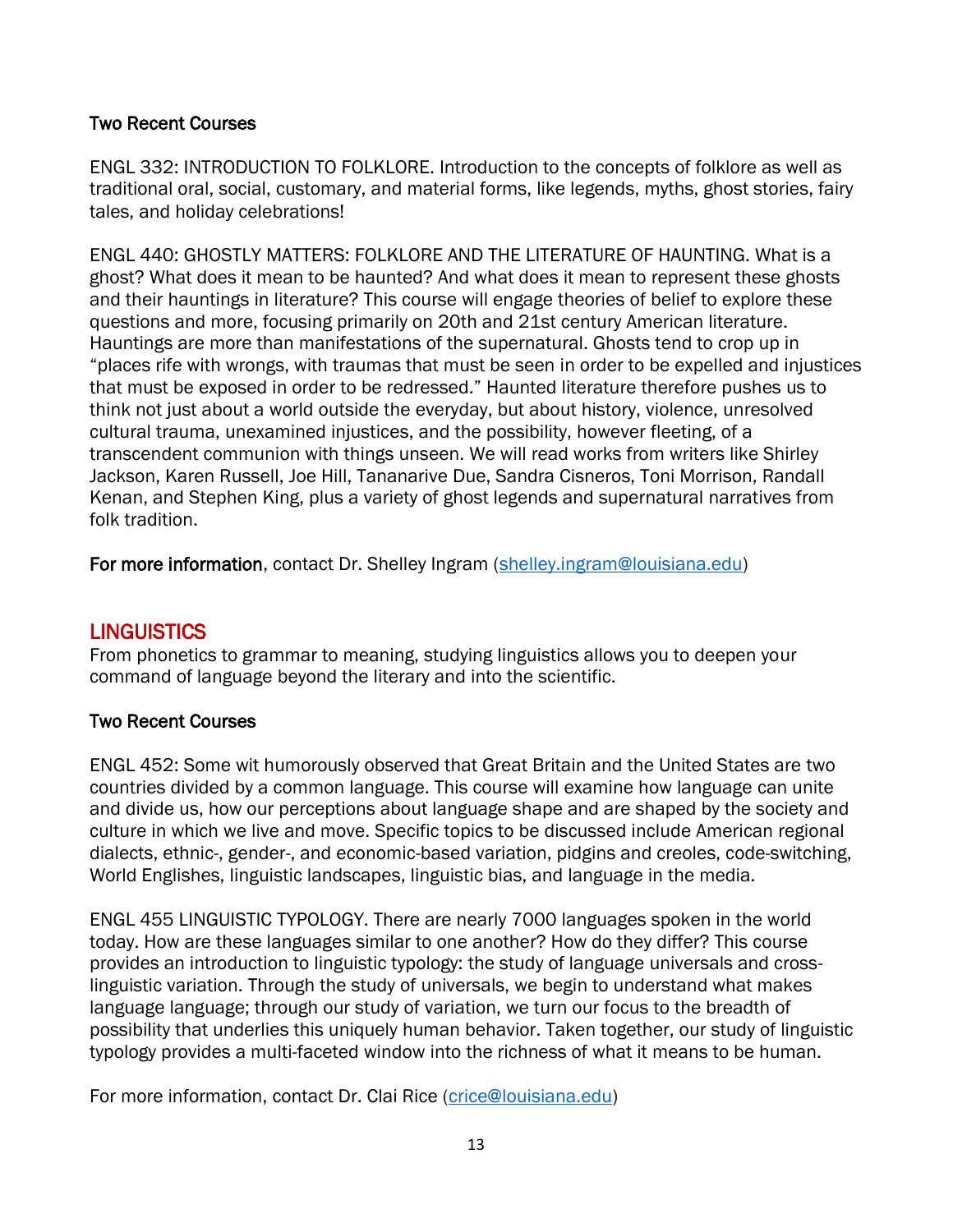## Two Recent Courses

ENGL 332: INTRODUCTION TO FOLKLORE. Introduction to the concepts of folklore as well as traditional oral, social, customary, and material forms, like legends, myths, ghost stories, fairy tales, and holiday celebrations!

ENGL 440: GHOSTLY MATTERS: FOLKLORE AND THE LITERATURE OF HAUNTING. What is a ghost? What does it mean to be haunted? And what does it mean to represent these ghosts and their hauntings in literature? This course will engage theories of belief to explore these questions and more, focusing primarily on 20th and 21st century American literature. Hauntings are more than manifestations of the supernatural. Ghosts tend to crop up in "places rife with wrongs, with traumas that must be seen in order to be expelled and injustices that must be exposed in order to be redressed." Haunted literature therefore pushes us to think not just about a world outside the everyday, but about history, violence, unresolved cultural trauma, unexamined injustices, and the possibility, however fleeting, of a transcendent communion with things unseen. We will read works from writers like Shirley Jackson, Karen Russell, Joe Hill, Tananarive Due, Sandra Cisneros, Toni Morrison, Randall Kenan, and Stephen King, plus a variety of ghost legends and supernatural narratives from folk tradition.

For more information, contact Dr. Shelley Ingram [\(shelley.ingram@louisiana.edu\)](mailto:shelley.ingram@louisiana.edu)

## **LINGUISTICS**

From phonetics to grammar to meaning, studying linguistics allows you to deepen your command of language beyond the literary and into the scientific.

## Two Recent Courses

ENGL 452: Some wit humorously observed that Great Britain and the United States are two countries divided by a common language. This course will examine how language can unite and divide us, how our perceptions about language shape and are shaped by the society and culture in which we live and move. Specific topics to be discussed include American regional dialects, ethnic-, gender-, and economic-based variation, pidgins and creoles, code-switching, World Englishes, linguistic landscapes, linguistic bias, and language in the media.

ENGL 455 LINGUISTIC TYPOLOGY. There are nearly 7000 languages spoken in the world today. How are these languages similar to one another? How do they differ? This course provides an introduction to linguistic typology: the study of language universals and crosslinguistic variation. Through the study of universals, we begin to understand what makes language language; through our study of variation, we turn our focus to the breadth of possibility that underlies this uniquely human behavior. Taken together, our study of linguistic typology provides a multi-faceted window into the richness of what it means to be human.

For more information, contact Dr. Clai Rice [\(crice@louisiana.edu\)](mailto:crice@louisiana.edu)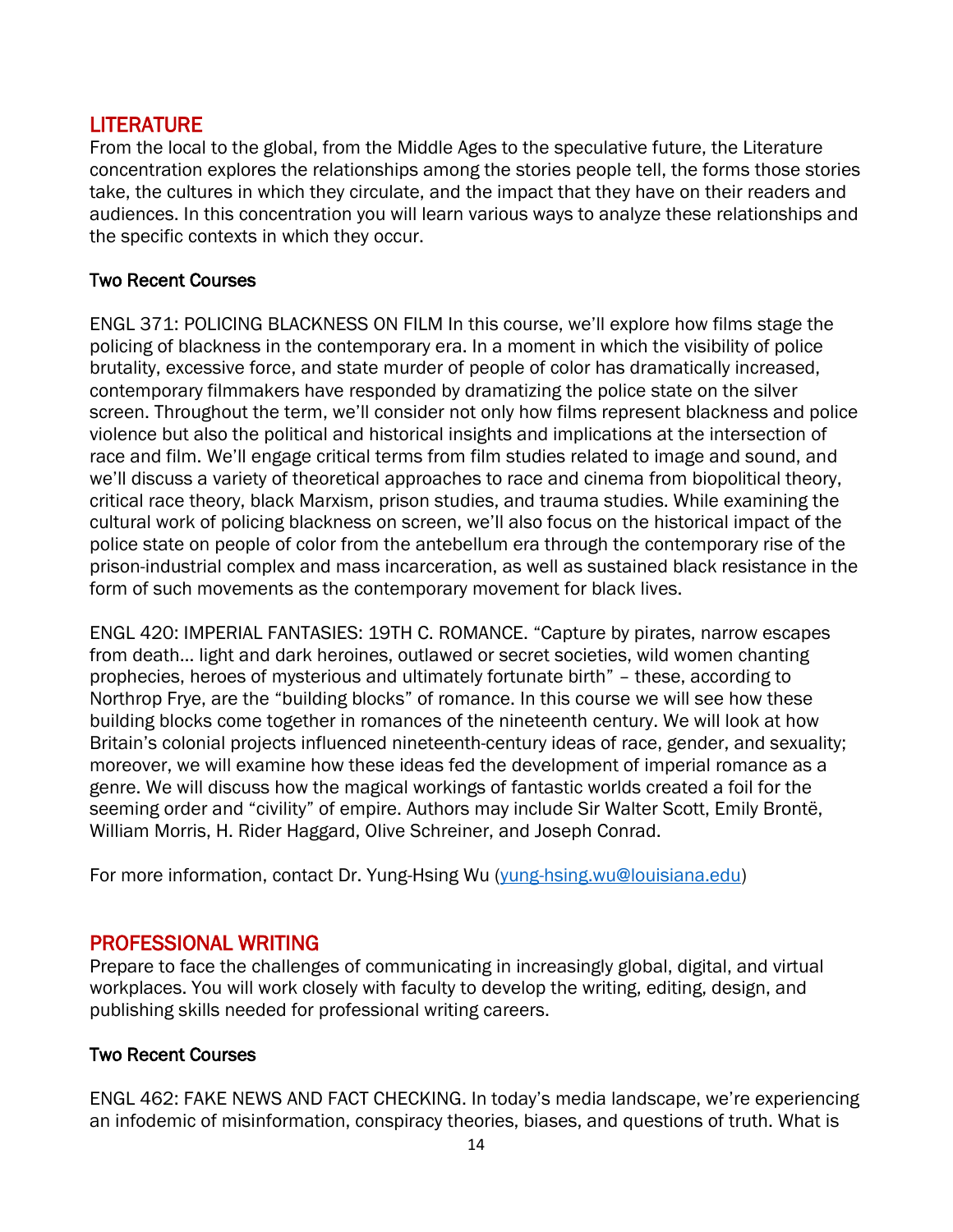## LITERATURE

From the local to the global, from the Middle Ages to the speculative future, the Literature concentration explores the relationships among the stories people tell, the forms those stories take, the cultures in which they circulate, and the impact that they have on their readers and audiences. In this concentration you will learn various ways to analyze these relationships and the specific contexts in which they occur.

### Two Recent Courses

ENGL 371: POLICING BLACKNESS ON FILM In this course, we'll explore how films stage the policing of blackness in the contemporary era. In a moment in which the visibility of police brutality, excessive force, and state murder of people of color has dramatically increased, contemporary filmmakers have responded by dramatizing the police state on the silver screen. Throughout the term, we'll consider not only how films represent blackness and police violence but also the political and historical insights and implications at the intersection of race and film. We'll engage critical terms from film studies related to image and sound, and we'll discuss a variety of theoretical approaches to race and cinema from biopolitical theory, critical race theory, black Marxism, prison studies, and trauma studies. While examining the cultural work of policing blackness on screen, we'll also focus on the historical impact of the police state on people of color from the antebellum era through the contemporary rise of the prison-industrial complex and mass incarceration, as well as sustained black resistance in the form of such movements as the contemporary movement for black lives.

ENGL 420: IMPERIAL FANTASIES: 19TH C. ROMANCE. "Capture by pirates, narrow escapes from death… light and dark heroines, outlawed or secret societies, wild women chanting prophecies, heroes of mysterious and ultimately fortunate birth" – these, according to Northrop Frye, are the "building blocks" of romance. In this course we will see how these building blocks come together in romances of the nineteenth century. We will look at how Britain's colonial projects influenced nineteenth-century ideas of race, gender, and sexuality; moreover, we will examine how these ideas fed the development of imperial romance as a genre. We will discuss how the magical workings of fantastic worlds created a foil for the seeming order and "civility" of empire. Authors may include Sir Walter Scott, Emily Brontë, William Morris, H. Rider Haggard, Olive Schreiner, and Joseph Conrad.

For more information, contact Dr. Yung-Hsing Wu [\(yung-hsing.wu@louisiana.edu\)](mailto:yung-hsing.wu@louisiana.edu)

## PROFESSIONAL WRITING

Prepare to face the challenges of communicating in increasingly global, digital, and virtual workplaces. You will work closely with faculty to develop the writing, editing, design, and publishing skills needed for professional writing careers.

## Two Recent Courses

ENGL 462: FAKE NEWS AND FACT CHECKING. In today's media landscape, we're experiencing an infodemic of misinformation, conspiracy theories, biases, and questions of truth. What is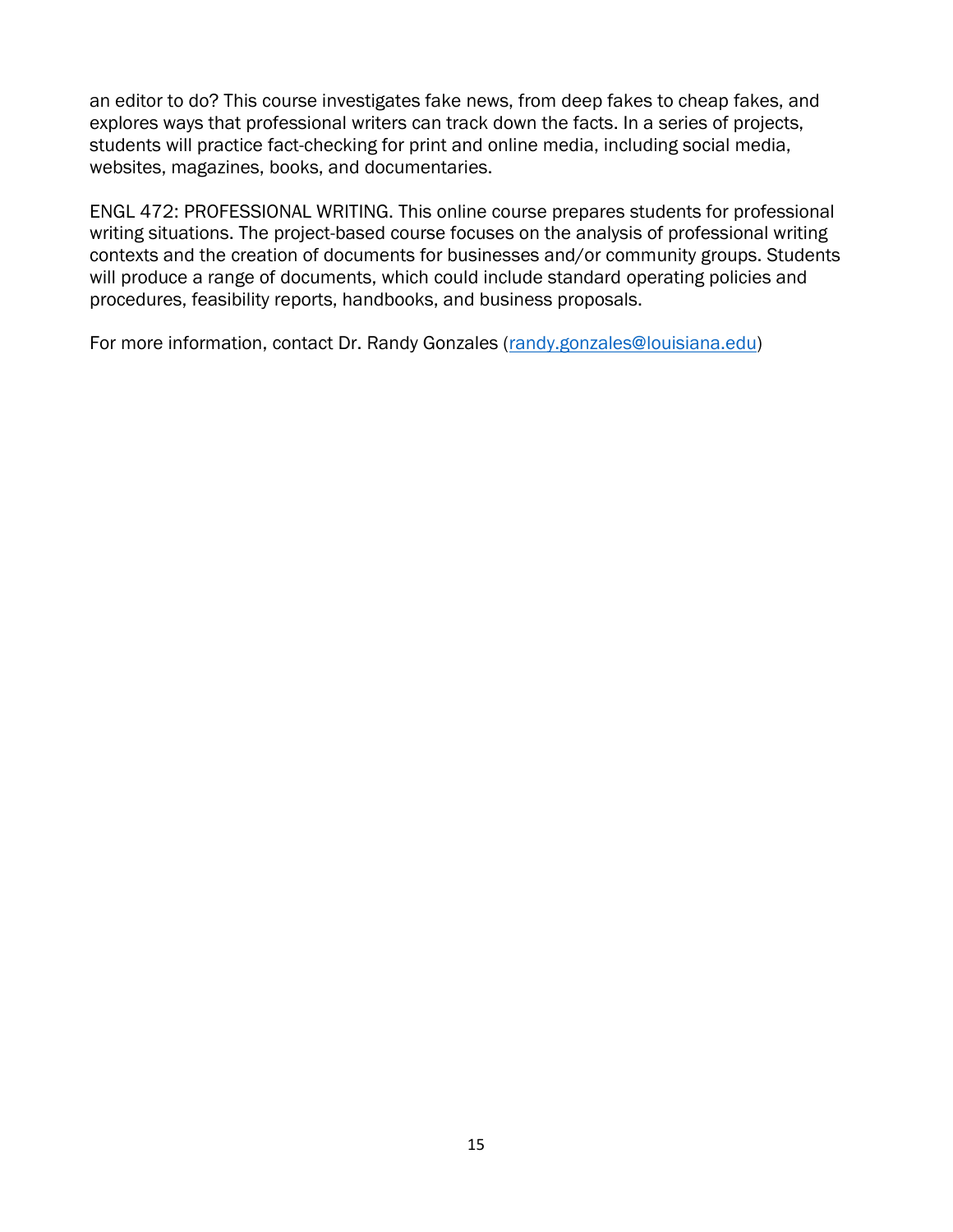an editor to do? This course investigates fake news, from deep fakes to cheap fakes, and explores ways that professional writers can track down the facts. In a series of projects, students will practice fact-checking for print and online media, including social media, websites, magazines, books, and documentaries.

ENGL 472: PROFESSIONAL WRITING. This online course prepares students for professional writing situations. The project-based course focuses on the analysis of professional writing contexts and the creation of documents for businesses and/or community groups. Students will produce a range of documents, which could include standard operating policies and procedures, feasibility reports, handbooks, and business proposals.

For more information, contact Dr. Randy Gonzales [\(randy.gonzales@louisiana.edu\)](mailto:randy.gonzales@louisiana.edu)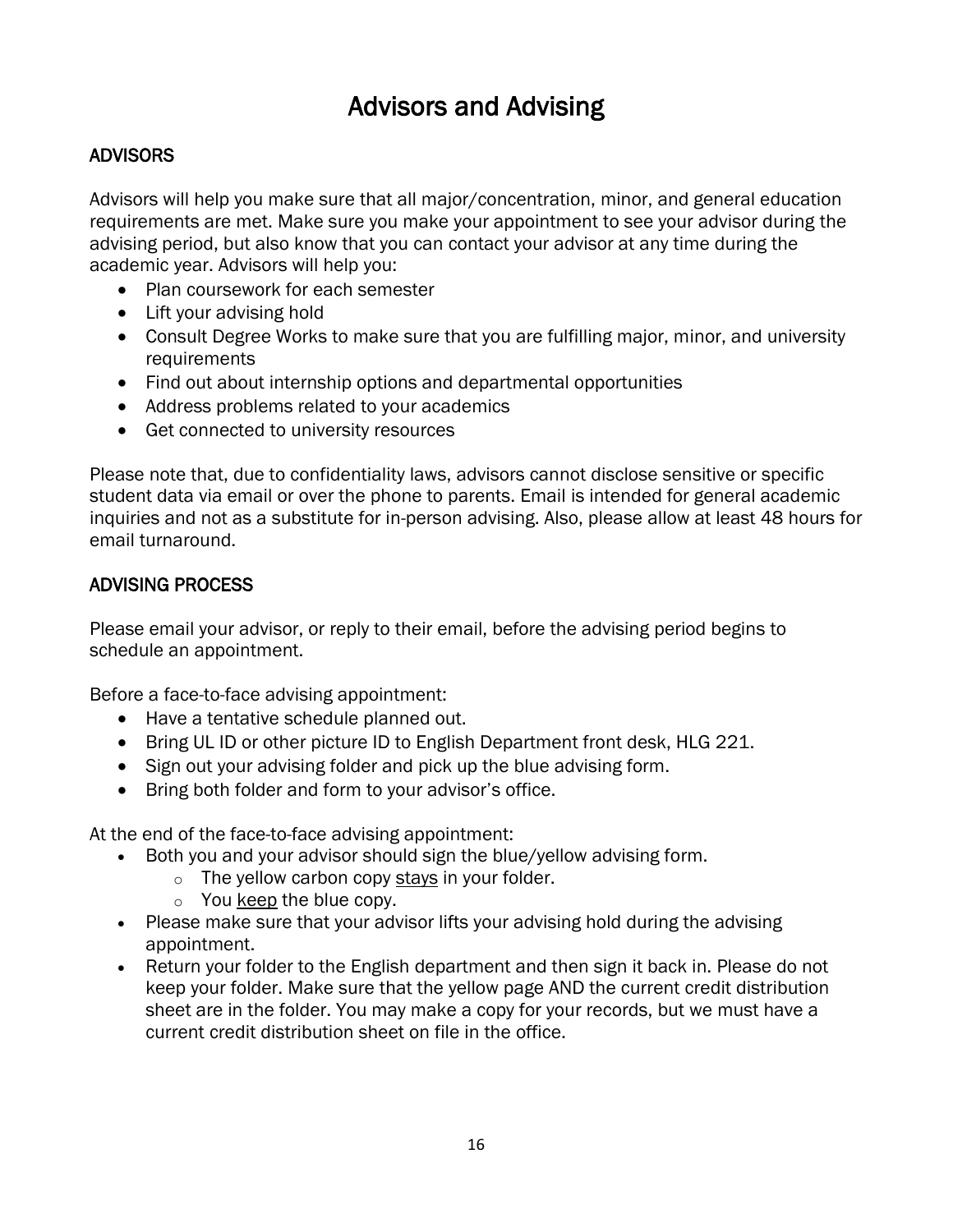## Advisors and Advising

## <span id="page-15-0"></span>ADVISORS

Advisors will help you make sure that all major/concentration, minor, and general education requirements are met. Make sure you make your appointment to see your advisor during the advising period, but also know that you can contact your advisor at any time during the academic year. Advisors will help you:

- Plan coursework for each semester
- Lift your advising hold
- Consult Degree Works to make sure that you are fulfilling major, minor, and university requirements
- Find out about internship options and departmental opportunities
- Address problems related to your academics
- Get connected to university resources

Please note that, due to confidentiality laws, advisors cannot disclose sensitive or specific student data via email or over the phone to parents. Email is intended for general academic inquiries and not as a substitute for in-person advising. Also, please allow at least 48 hours for email turnaround.

#### ADVISING PROCESS

Please email your advisor, or reply to their email, before the advising period begins to schedule an appointment.

Before a face-to-face advising appointment:

- Have a tentative schedule planned out.
- Bring UL ID or other picture ID to English Department front desk, HLG 221.
- Sign out your advising folder and pick up the blue advising form.
- Bring both folder and form to your advisor's office.

At the end of the face-to-face advising appointment:

- Both you and your advisor should sign the blue/yellow advising form.
	- $\circ$  The yellow carbon copy stays in your folder.
	- o You keep the blue copy.
- Please make sure that your advisor lifts your advising hold during the advising appointment.
- Return your folder to the English department and then sign it back in. Please do not keep your folder. Make sure that the yellow page AND the current credit distribution sheet are in the folder. You may make a copy for your records, but we must have a current credit distribution sheet on file in the office.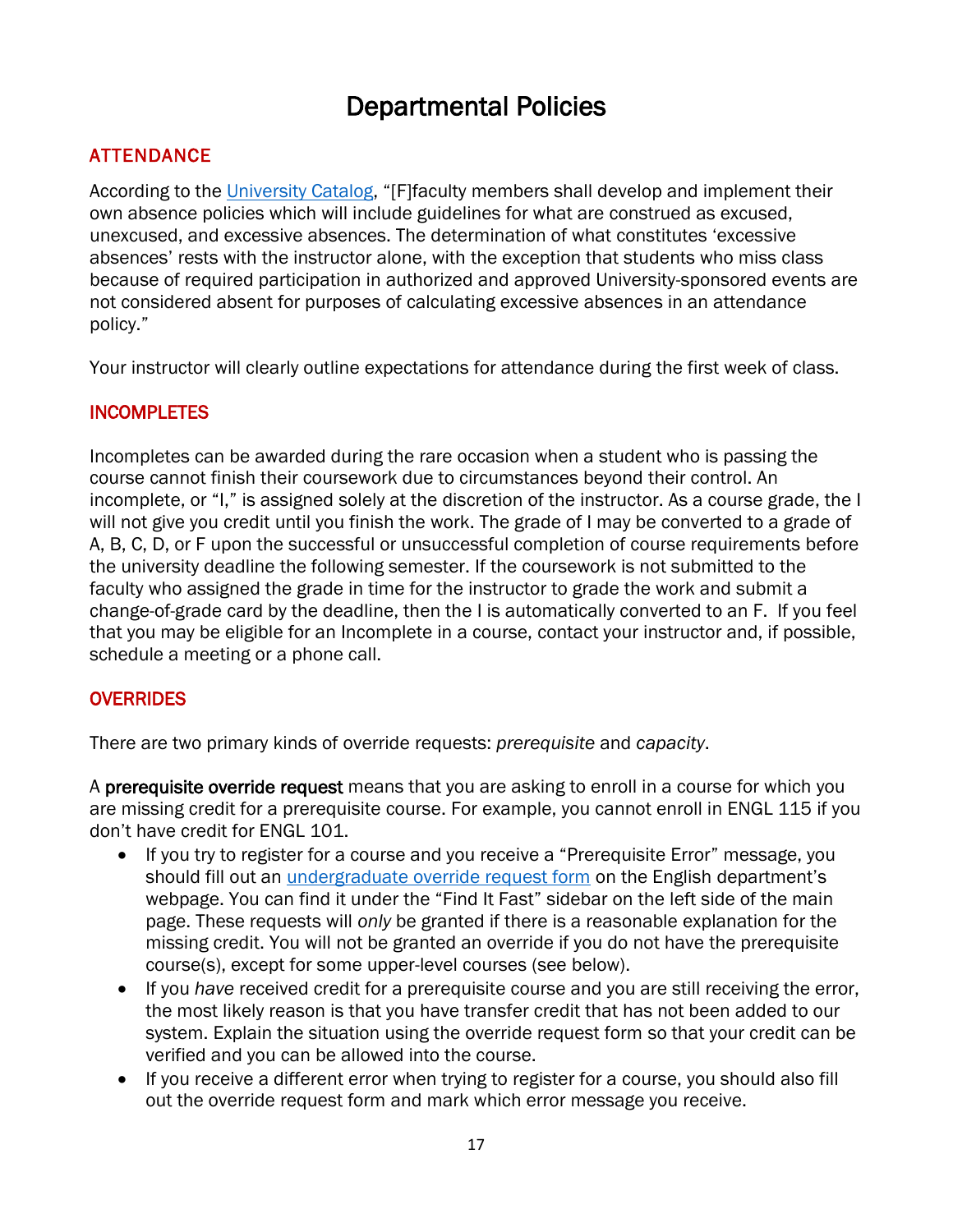## Departmental Policies

## <span id="page-16-0"></span>ATTENDANCE

According to the [University Catalog](https://catalog.louisiana.edu/content.php?catoid=20&navoid=7090), "[F]faculty members shall develop and implement their own absence policies which will include guidelines for what are construed as excused, unexcused, and excessive absences. The determination of what constitutes 'excessive absences' rests with the instructor alone, with the exception that students who miss class because of required participation in authorized and approved University-sponsored events are not considered absent for purposes of calculating excessive absences in an attendance policy."

Your instructor will clearly outline expectations for attendance during the first week of class.

## **INCOMPLETES**

Incompletes can be awarded during the rare occasion when a student who is passing the course cannot finish their coursework due to circumstances beyond their control. An incomplete, or "I," is assigned solely at the discretion of the instructor. As a course grade, the I will not give you credit until you finish the work. The grade of I may be converted to a grade of A, B, C, D, or F upon the successful or unsuccessful completion of course requirements before the university deadline the following semester. If the coursework is not submitted to the faculty who assigned the grade in time for the instructor to grade the work and submit a change-of-grade card by the deadline, then the I is automatically converted to an F. If you feel that you may be eligible for an Incomplete in a course, contact your instructor and, if possible, schedule a meeting or a phone call.

## **OVERRIDES**

There are two primary kinds of override requests: *prerequisite* and *capacity*.

A prerequisite override request means that you are asking to enroll in a course for which you are missing credit for a prerequisite course. For example, you cannot enroll in ENGL 115 if you don't have credit for ENGL 101.

- If you try to register for a course and you receive a "Prerequisite Error" message, you should fill out an [undergraduate override request form](https://english.louisiana.edu/node/268) on the English department's webpage. You can find it under the "Find It Fast" sidebar on the left side of the main page. These requests will *only* be granted if there is a reasonable explanation for the missing credit. You will not be granted an override if you do not have the prerequisite course(s), except for some upper-level courses (see below).
- If you *have* received credit for a prerequisite course and you are still receiving the error, the most likely reason is that you have transfer credit that has not been added to our system. Explain the situation using the override request form so that your credit can be verified and you can be allowed into the course.
- If you receive a different error when trying to register for a course, you should also fill out the override request form and mark which error message you receive.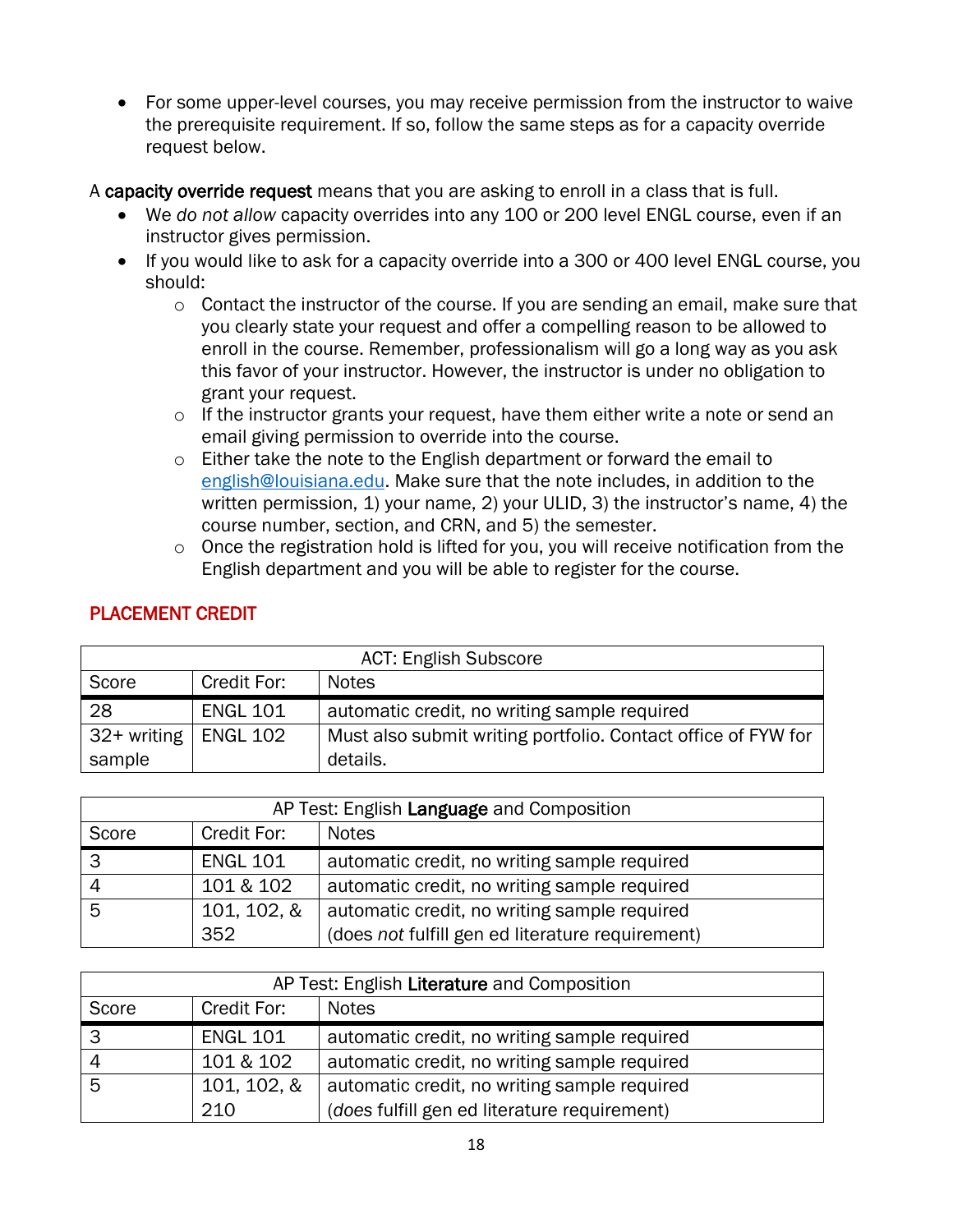• For some upper-level courses, you may receive permission from the instructor to waive the prerequisite requirement. If so, follow the same steps as for a capacity override request below.

A capacity override request means that you are asking to enroll in a class that is full.

- We *do not allow* capacity overrides into any 100 or 200 level ENGL course, even if an instructor gives permission.
- If you would like to ask for a capacity override into a 300 or 400 level ENGL course, you should:
	- $\circ$  Contact the instructor of the course. If you are sending an email, make sure that you clearly state your request and offer a compelling reason to be allowed to enroll in the course. Remember, professionalism will go a long way as you ask this favor of your instructor. However, the instructor is under no obligation to grant your request.
	- o If the instructor grants your request, have them either write a note or send an email giving permission to override into the course.
	- $\circ$  Either take the note to the English department or forward the email to [english@louisiana.edu.](mailto:english@louisiana.edu) Make sure that the note includes, in addition to the written permission, 1) your name, 2) your ULID, 3) the instructor's name, 4) the course number, section, and CRN, and 5) the semester.
	- o Once the registration hold is lifted for you, you will receive notification from the English department and you will be able to register for the course.

| <b>ACT: English Subscore</b> |                 |                                                               |  |
|------------------------------|-----------------|---------------------------------------------------------------|--|
| Score                        | Credit For:     | <b>Notes</b>                                                  |  |
| 28                           | <b>ENGL 101</b> | automatic credit, no writing sample required                  |  |
| $32+$ writing   ENGL 102     |                 | Must also submit writing portfolio. Contact office of FYW for |  |
| sample                       |                 | details.                                                      |  |

## PLACEMENT CREDIT

| AP Test: English Language and Composition |                 |                                                  |  |
|-------------------------------------------|-----------------|--------------------------------------------------|--|
| Score                                     | Credit For:     | <b>Notes</b>                                     |  |
| 3                                         | <b>ENGL 101</b> | automatic credit, no writing sample required     |  |
|                                           | 101 & 102       | automatic credit, no writing sample required     |  |
| 5                                         | 101, 102, &     | automatic credit, no writing sample required     |  |
|                                           | 352             | (does not fulfill gen ed literature requirement) |  |

| AP Test: English Literature and Composition |                 |                                              |  |
|---------------------------------------------|-----------------|----------------------------------------------|--|
| Score                                       | Credit For:     | <b>Notes</b>                                 |  |
| 3                                           | <b>ENGL 101</b> | automatic credit, no writing sample required |  |
| $\overline{4}$                              | 101 & 102       | automatic credit, no writing sample required |  |
| 5                                           | 101, 102, &     | automatic credit, no writing sample required |  |
|                                             | 210             | (does fulfill gen ed literature requirement) |  |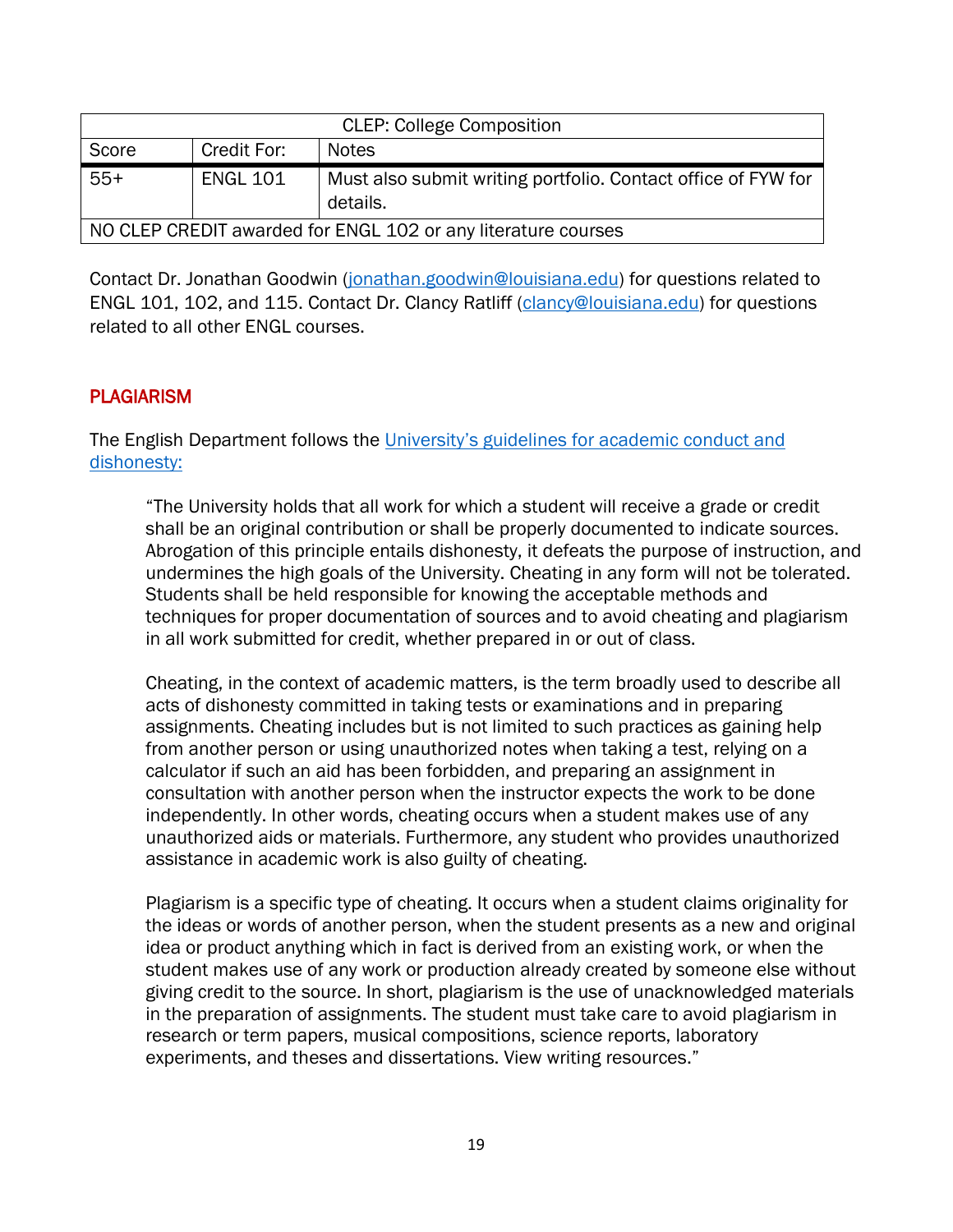| <b>CLEP: College Composition</b>                              |                 |                                                                           |  |
|---------------------------------------------------------------|-----------------|---------------------------------------------------------------------------|--|
| Score                                                         | Credit For:     | <b>Notes</b>                                                              |  |
| $55+$                                                         | <b>ENGL 101</b> | Must also submit writing portfolio. Contact office of FYW for<br>details. |  |
| NO CLEP CREDIT awarded for ENGL 102 or any literature courses |                 |                                                                           |  |

Contact Dr. Jonathan Goodwin [\(jonathan.goodwin@louisiana.edu\)](mailto:jonathan.goodwin@louisiana.edu) for questions related to ENGL 101, 102, and 115. Contact Dr. Clancy Ratliff [\(clancy@louisiana.edu\)](mailto:clancy@louisiana.edu) for questions related to all other ENGL courses.

#### **PLAGIARISM**

The English Department follows the University's guidelines for academic conduct and [dishonesty:](https://studentrights.louisiana.edu/student-conduct/academic-conduct-dishonesty)

"The University holds that all work for which a student will receive a grade or credit shall be an original contribution or shall be properly documented to indicate sources. Abrogation of this principle entails dishonesty, it defeats the purpose of instruction, and undermines the high goals of the University. Cheating in any form will not be tolerated. Students shall be held responsible for knowing the acceptable methods and techniques for proper documentation of sources and to avoid cheating and plagiarism in all work submitted for credit, whether prepared in or out of class.

Cheating, in the context of academic matters, is the term broadly used to describe all acts of dishonesty committed in taking tests or examinations and in preparing assignments. Cheating includes but is not limited to such practices as gaining help from another person or using unauthorized notes when taking a test, relying on a calculator if such an aid has been forbidden, and preparing an assignment in consultation with another person when the instructor expects the work to be done independently. In other words, cheating occurs when a student makes use of any unauthorized aids or materials. Furthermore, any student who provides unauthorized assistance in academic work is also guilty of cheating.

Plagiarism is a specific type of cheating. It occurs when a student claims originality for the ideas or words of another person, when the student presents as a new and original idea or product anything which in fact is derived from an existing work, or when the student makes use of any work or production already created by someone else without giving credit to the source. In short, plagiarism is the use of unacknowledged materials in the preparation of assignments. The student must take care to avoid plagiarism in research or term papers, musical compositions, science reports, laboratory experiments, and theses and dissertations. View writing resources."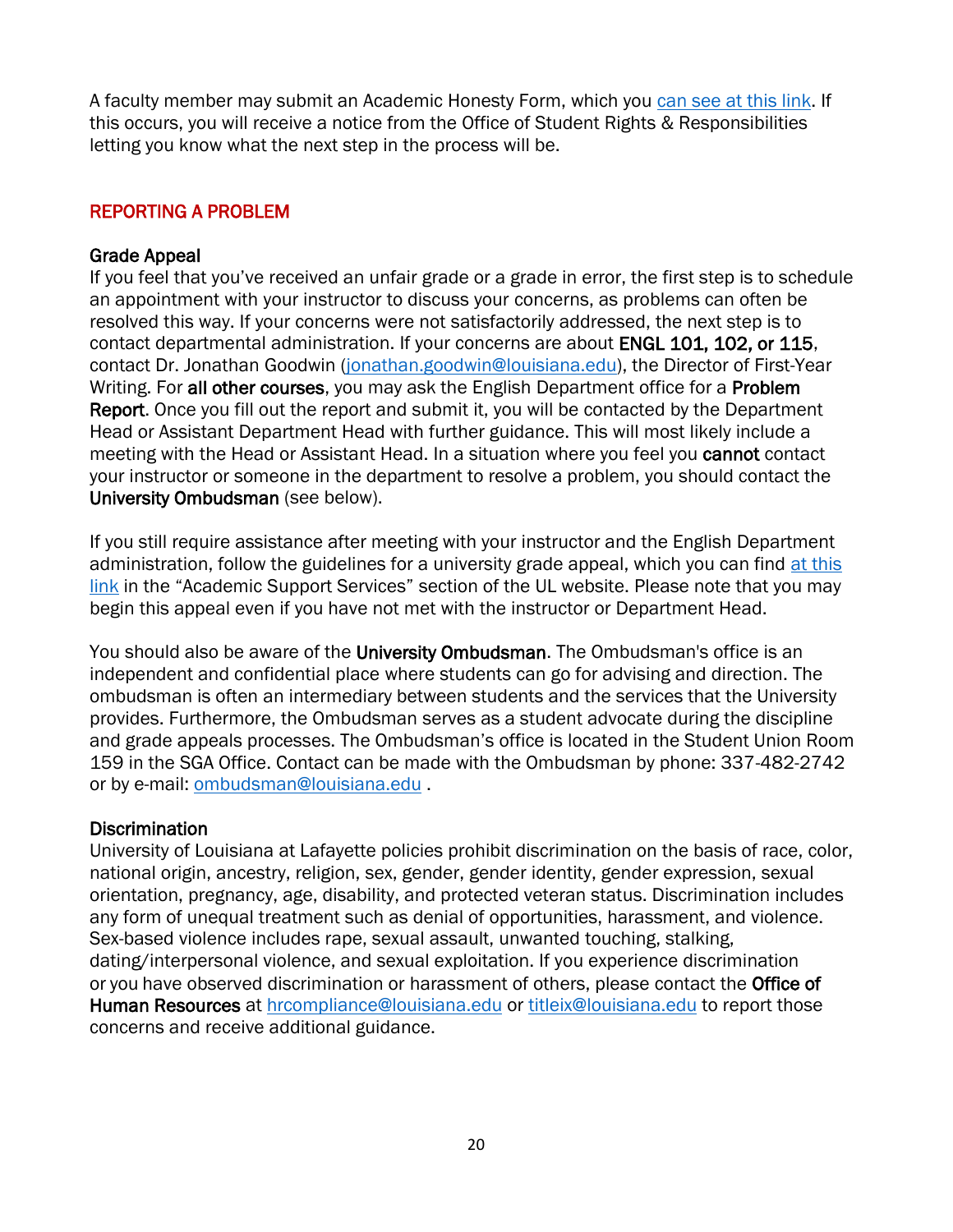A faculty member may submit an Academic Honesty Form, which you [can see at this link.](https://studentrights.louisiana.edu/node/45) If this occurs, you will receive a notice from the Office of Student Rights & Responsibilities letting you know what the next step in the process will be.

## REPORTING A PROBLEM

#### Grade Appeal

If you feel that you've received an unfair grade or a grade in error, the first step is to schedule an appointment with your instructor to discuss your concerns, as problems can often be resolved this way. If your concerns were not satisfactorily addressed, the next step is to contact departmental administration. If your concerns are about ENGL 101, 102, or 115, contact Dr. Jonathan Goodwin [\(jonathan.goodwin@louisiana.edu\)](mailto:jonathan.goodwin@louisiana.edu), the Director of First-Year Writing. For all other courses, you may ask the English Department office for a Problem Report. Once you fill out the report and submit it, you will be contacted by the Department Head or Assistant Department Head with further guidance. This will most likely include a meeting with the Head or Assistant Head. In a situation where you feel you cannot contact your instructor or someone in the department to resolve a problem, you should contact the University Ombudsman (see below).

If you still require assistance after meeting with your instructor and the English Department administration, follow the guidelines for a university grade appeal, which you can find at this [link](https://louisiana.edu/academics/academic-support-services/grade-appeals) in the "Academic Support Services" section of the UL website. Please note that you may begin this appeal even if you have not met with the instructor or Department Head.

You should also be aware of the University Ombudsman. The Ombudsman's office is an independent and confidential place where students can go for advising and direction. The ombudsman is often an intermediary between students and the services that the University provides. Furthermore, the Ombudsman serves as a student advocate during the discipline and grade appeals processes. The Ombudsman's office is located in the Student Union Room 159 in the SGA Office. Contact can be made with the Ombudsman by phone: 337-482-2742 or by e-mail: [ombudsman@louisiana.edu](mailto:ombudsman@louisiana.edu) .

#### Discrimination

University of Louisiana at Lafayette policies prohibit discrimination on the basis of race, color, national origin, ancestry, religion, sex, gender, gender identity, gender expression, sexual orientation, pregnancy, age, disability, and protected veteran status. Discrimination includes any form of unequal treatment such as denial of opportunities, harassment, and violence. Sex-based violence includes rape, sexual assault, unwanted touching, stalking, dating/interpersonal violence, and sexual exploitation. If you experience discrimination or you have observed discrimination or harassment of others, please contact the Office of Human Resources at [hrcompliance@louisiana.edu](mailto:hrcompliance@louisiana.edu) or [titleix@louisiana.edu](mailto:titleix@louisiana.edu) to report those concerns and receive additional guidance.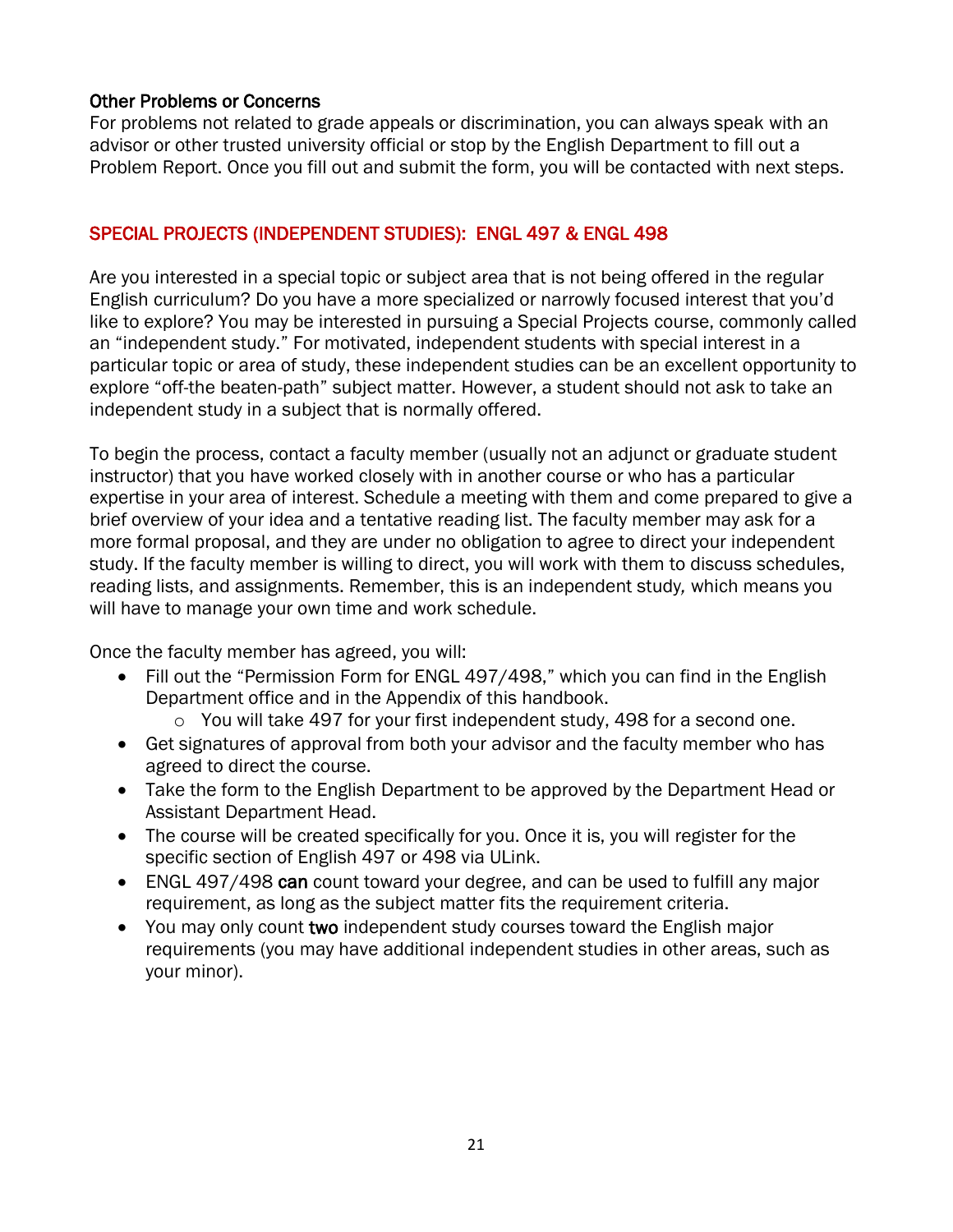### Other Problems or Concerns

For problems not related to grade appeals or discrimination, you can always speak with an advisor or other trusted university official or stop by the English Department to fill out a Problem Report. Once you fill out and submit the form, you will be contacted with next steps.

## SPECIAL PROJECTS (INDEPENDENT STUDIES): ENGL 497 & ENGL 498

Are you interested in a special topic or subject area that is not being offered in the regular English curriculum? Do you have a more specialized or narrowly focused interest that you'd like to explore? You may be interested in pursuing a Special Projects course, commonly called an "independent study." For motivated, independent students with special interest in a particular topic or area of study, these independent studies can be an excellent opportunity to explore "off-the beaten-path" subject matter. However, a student should not ask to take an independent study in a subject that is normally offered.

To begin the process, contact a faculty member (usually not an adjunct or graduate student instructor) that you have worked closely with in another course or who has a particular expertise in your area of interest. Schedule a meeting with them and come prepared to give a brief overview of your idea and a tentative reading list. The faculty member may ask for a more formal proposal, and they are under no obligation to agree to direct your independent study. If the faculty member is willing to direct, you will work with them to discuss schedules, reading lists, and assignments. Remember, this is an independent study*,* which means you will have to manage your own time and work schedule.

Once the faculty member has agreed, you will:

- Fill out the "Permission Form for ENGL 497/498," which you can find in the English Department office and in the Appendix of this handbook.
	- o You will take 497 for your first independent study, 498 for a second one.
- Get signatures of approval from both your advisor and the faculty member who has agreed to direct the course.
- Take the form to the English Department to be approved by the Department Head or Assistant Department Head.
- The course will be created specifically for you. Once it is, you will register for the specific section of English 497 or 498 via ULink.
- ENGL 497/498 can count toward your degree, and can be used to fulfill any major requirement, as long as the subject matter fits the requirement criteria.
- You may only count two independent study courses toward the English major requirements (you may have additional independent studies in other areas, such as your minor).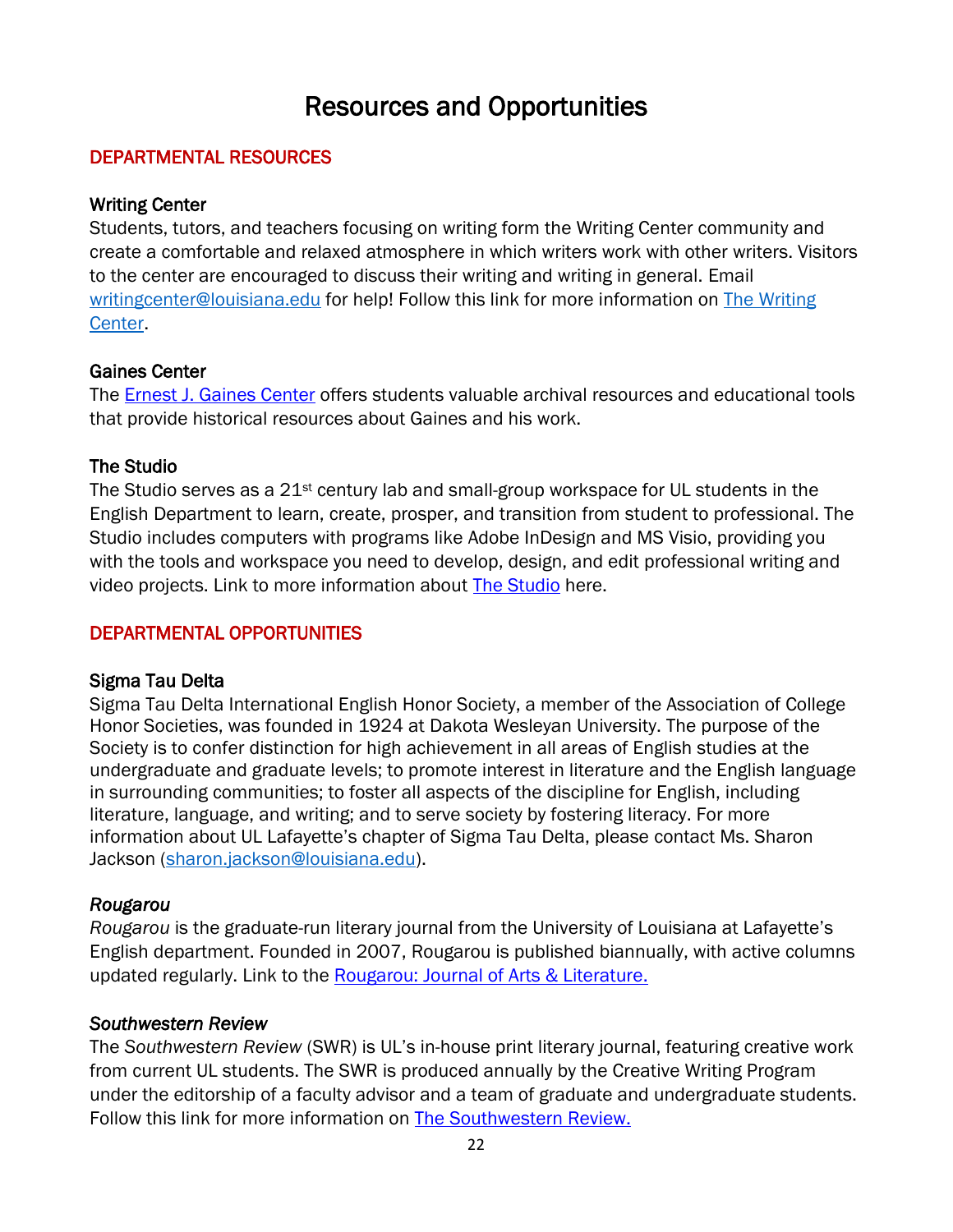## Resources and Opportunities

#### <span id="page-21-0"></span>DEPARTMENTAL RESOURCES

#### Writing Center

Students, tutors, and teachers focusing on writing form the Writing Center community and create a comfortable and relaxed atmosphere in which writers work with other writers. Visitors to the center are encouraged to discuss their writing and writing in general. Email [writingcenter@louisiana.edu](mailto:writingcenter@louisiana.edu) for help! Follow this link for more information on The Writing [Center.](https://english.louisiana.edu/about-us/publications-centers/writing-center)

#### Gaines Center

The [Ernest J. Gaines Center](https://english.louisiana.edu/about-us/publications-centers/ernest-j-gaines-center) offers students valuable archival resources and educational tools that provide historical resources about Gaines and his work.

#### The Studio

The Studio serves as a  $21^{st}$  century lab and small-group workspace for UL students in the English Department to learn, create, prosper, and transition from student to professional. The Studio includes computers with programs like Adobe InDesign and MS Visio, providing you with the tools and workspace you need to develop, design, and edit professional writing and video projects. Link to more information about [The Studio](https://english.louisiana.edu/about-us/publications-centers/studio) here.

## DEPARTMENTAL OPPORTUNITIES

#### Sigma Tau Delta

Sigma Tau Delta International English Honor Society, a member of the Association of College Honor Societies, was founded in 1924 at Dakota Wesleyan University. The purpose of the Society is to confer distinction for high achievement in all areas of English studies at the undergraduate and graduate levels; to promote interest in literature and the English language in surrounding communities; to foster all aspects of the discipline for English, including literature, language, and writing; and to serve society by fostering literacy. For more information about UL Lafayette's chapter of Sigma Tau Delta, please contact Ms. Sharon Jackson [\(sharon.jackson@louisiana.edu\)](mailto:sharon.jackson@louisiana.edu).

## *Rougarou*

*Rougarou* is the graduate-run literary journal from the University of Louisiana at Lafayette's English department. Founded in 2007, Rougarou is published biannually, with active columns updated regularly. Link to the [Rougarou: Journal of Arts & Literature.](https://english.louisiana.edu/about-us/publications-centers/rougarou)

#### *Southwestern Review*

The *Southwestern Review* (SWR) is UL's in-house print literary journal, featuring creative work from current UL students. The SWR is produced annually by the Creative Writing Program under the editorship of a faculty advisor and a team of graduate and undergraduate students. Follow this link for more information on [The Southwestern Review.](https://english.louisiana.edu/about-us/publications-centers/southwestern-review)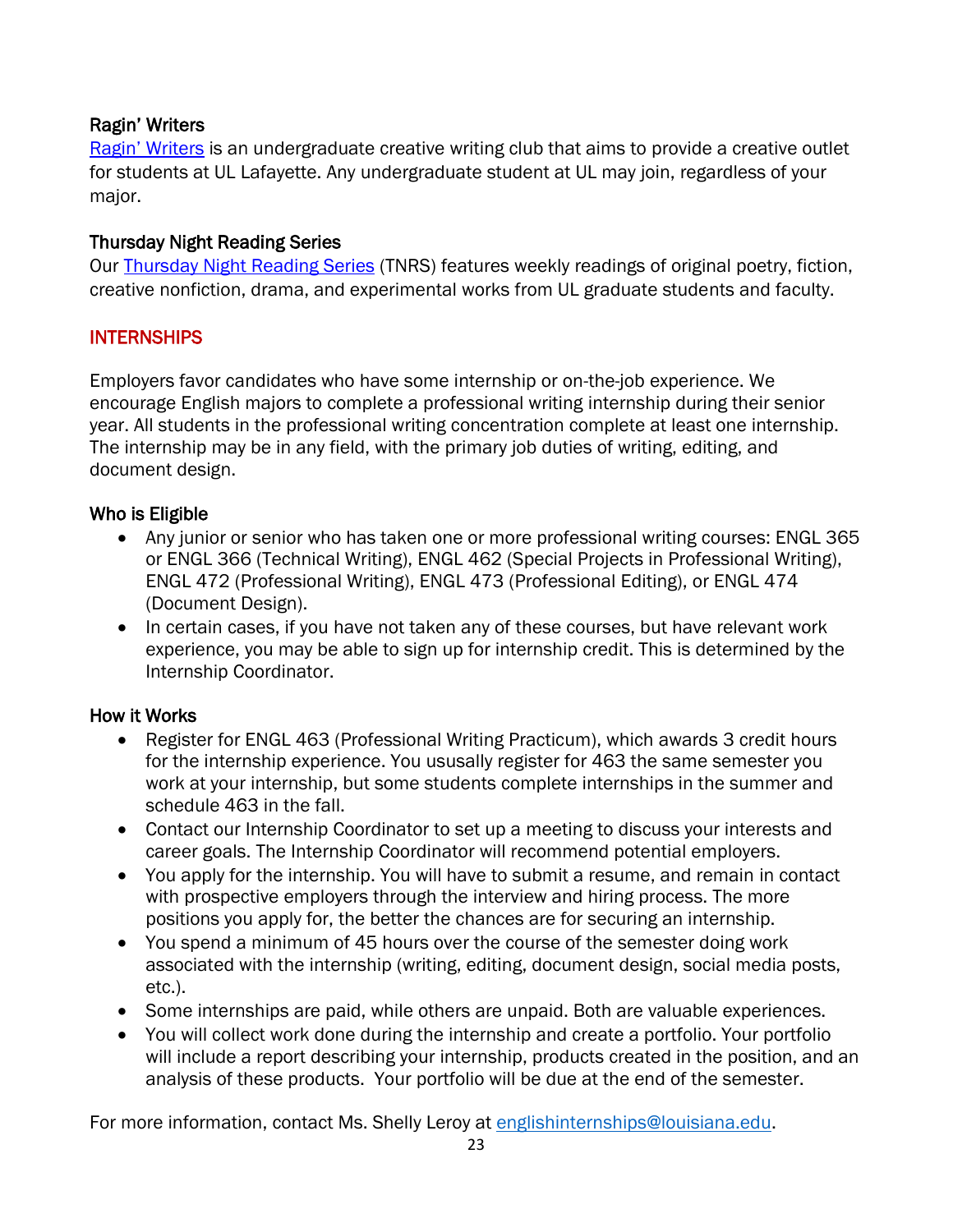### Ragin' Writers

[Ragin' Writers](https://english.louisiana.edu/node/322) is an undergraduate creative writing club that aims to provide a creative outlet for students at UL Lafayette. Any undergraduate student at UL may join, regardless of your major.

### Thursday Night Reading Series

Our [Thursday Night Reading Series](https://english.louisiana.edu/node/316) (TNRS) features weekly readings of original poetry, fiction, creative nonfiction, drama, and experimental works from UL graduate students and faculty.

#### INTERNSHIPS

Employers favor candidates who have some internship or on-the-job experience. We encourage English majors to complete a professional writing internship during their senior year. All students in the professional writing concentration complete at least one internship. The internship may be in any field, with the primary job duties of writing, editing, and document design.

#### Who is Eligible

- Any junior or senior who has taken one or more professional writing courses: ENGL 365 or ENGL 366 (Technical Writing), ENGL 462 (Special Projects in Professional Writing), ENGL 472 (Professional Writing), ENGL 473 (Professional Editing), or ENGL 474 (Document Design).
- In certain cases, if you have not taken any of these courses, but have relevant work experience, you may be able to sign up for internship credit. This is determined by the Internship Coordinator.

#### How it Works

- Register for ENGL 463 (Professional Writing Practicum), which awards 3 credit hours for the internship experience. You ususally register for 463 the same semester you work at your internship, but some students complete internships in the summer and schedule 463 in the fall.
- Contact our Internship Coordinator to set up a meeting to discuss your interests and career goals. The Internship Coordinator will recommend potential employers.
- You apply for the internship. You will have to submit a resume, and remain in contact with prospective employers through the interview and hiring process. The more positions you apply for, the better the chances are for securing an internship.
- You spend a minimum of 45 hours over the course of the semester doing work associated with the internship (writing, editing, document design, social media posts, etc.).
- Some internships are paid, while others are unpaid. Both are valuable experiences.
- You will collect work done during the internship and create a portfolio. Your portfolio will include a report describing your internship, products created in the position, and an analysis of these products. Your portfolio will be due at the end of the semester.

For more information, contact Ms. Shelly Leroy at [englishinternships@louisiana.edu.](mailto:englishinternships@louisiana.edu)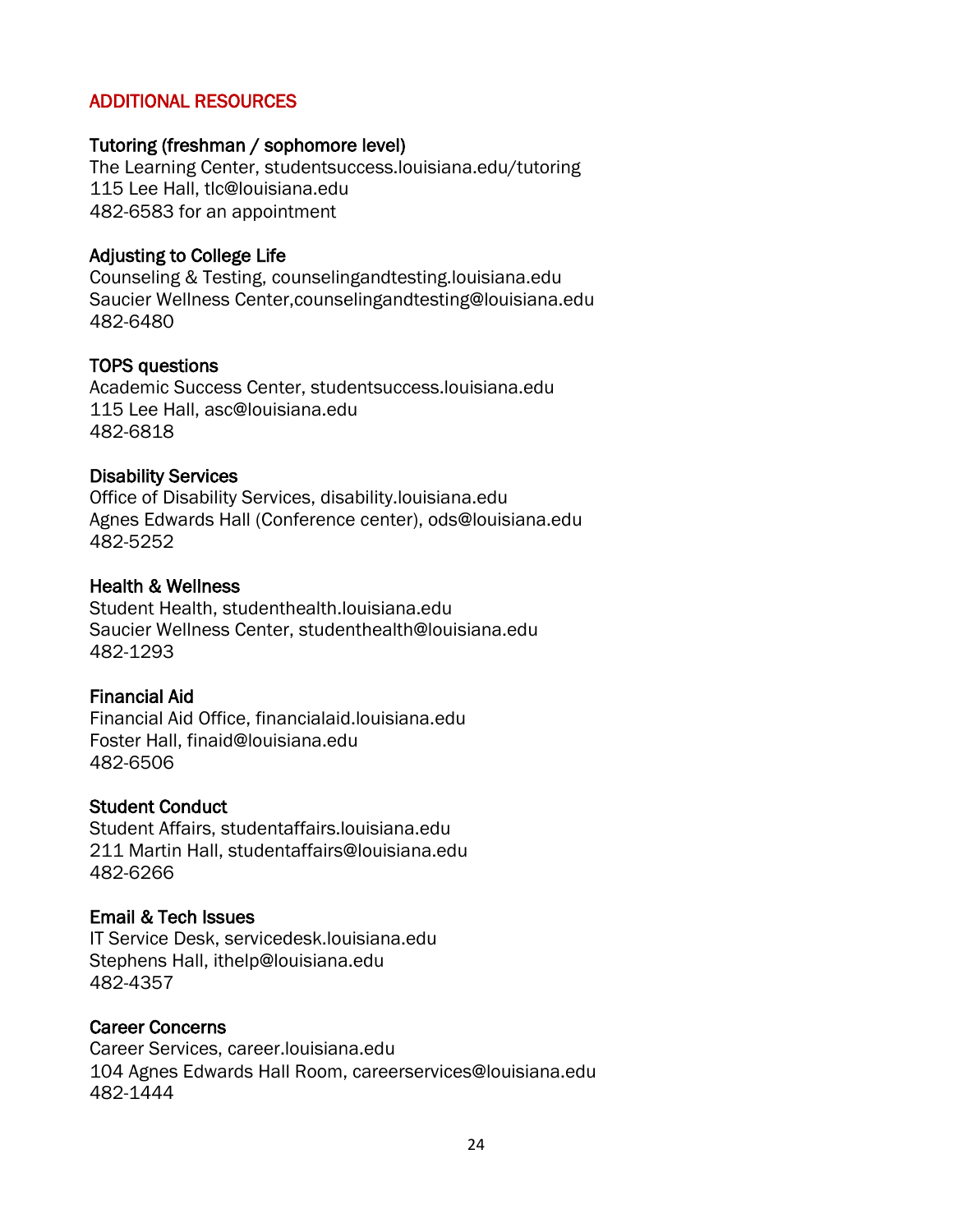#### ADDITIONAL RESOURCES

#### Tutoring (freshman / sophomore level)

The Learning Center, studentsuccess.louisiana.edu/tutoring 115 Lee Hall, tlc@louisiana.edu 482-6583 for an appointment

#### Adjusting to College Life

Counseling & Testing, counselingandtesting.louisiana.edu Saucier Wellness Center,counselingandtesting@louisiana.edu 482-6480

#### TOPS questions

Academic Success Center, studentsuccess.louisiana.edu 115 Lee Hall, asc@louisiana.edu 482-6818

#### Disability Services

Office of Disability Services, disability.louisiana.edu Agnes Edwards Hall (Conference center), ods@louisiana.edu 482-5252

#### Health & Wellness

Student Health, studenthealth.louisiana.edu Saucier Wellness Center, studenthealth@louisiana.edu 482-1293

#### Financial Aid

Financial Aid Office, financialaid.louisiana.edu Foster Hall, finaid@louisiana.edu 482-6506

#### Student Conduct

Student Affairs, studentaffairs.louisiana.edu 211 Martin Hall, studentaffairs@louisiana.edu 482-6266

#### Email & Tech Issues

IT Service Desk, servicedesk.louisiana.edu Stephens Hall, ithelp@louisiana.edu 482-4357

#### Career Concerns

Career Services, career.louisiana.edu 104 Agnes Edwards Hall Room, careerservices@louisiana.edu 482-1444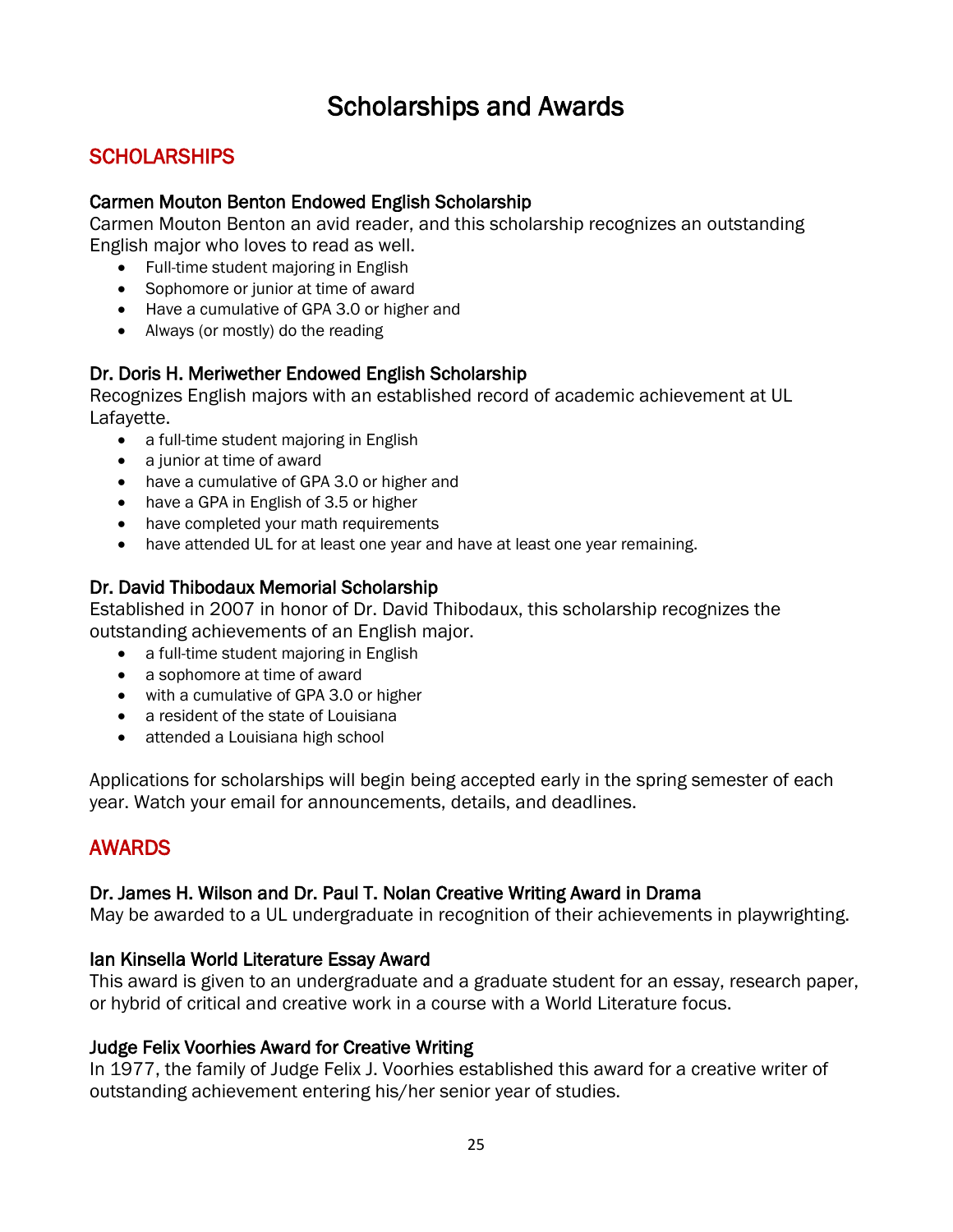## Scholarships and Awards

## <span id="page-24-0"></span>**SCHOLARSHIPS**

#### Carmen Mouton Benton Endowed English Scholarship

Carmen Mouton Benton an avid reader, and this scholarship recognizes an outstanding English major who loves to read as well.

- Full-time student majoring in English
- Sophomore or junior at time of award
- Have a cumulative of GPA 3.0 or higher and
- Always (or mostly) do the reading

## Dr. Doris H. Meriwether Endowed English Scholarship

Recognizes English majors with an established record of academic achievement at UL Lafayette.

- a full-time student majoring in English
- a junior at time of award
- have a cumulative of GPA 3.0 or higher and
- have a GPA in English of 3.5 or higher
- have completed your math requirements
- have attended UL for at least one year and have at least one year remaining.

## Dr. David Thibodaux Memorial Scholarship

Established in 2007 in honor of Dr. David Thibodaux, this scholarship recognizes the outstanding achievements of an English major.

- a full-time student majoring in English
- a sophomore at time of award
- with a cumulative of GPA 3.0 or higher
- a resident of the state of Louisiana
- attended a Louisiana high school

Applications for scholarships will begin being accepted early in the spring semester of each year. Watch your email for announcements, details, and deadlines.

## AWARDS

#### Dr. James H. Wilson and Dr. Paul T. Nolan Creative Writing Award in Drama

May be awarded to a UL undergraduate in recognition of their achievements in playwrighting.

#### Ian Kinsella World Literature Essay Award

This award is given to an undergraduate and a graduate student for an essay, research paper, or hybrid of critical and creative work in a course with a World Literature focus.

#### Judge Felix Voorhies Award for Creative Writing

In 1977, the family of Judge Felix J. Voorhies established this award for a creative writer of outstanding achievement entering his/her senior year of studies.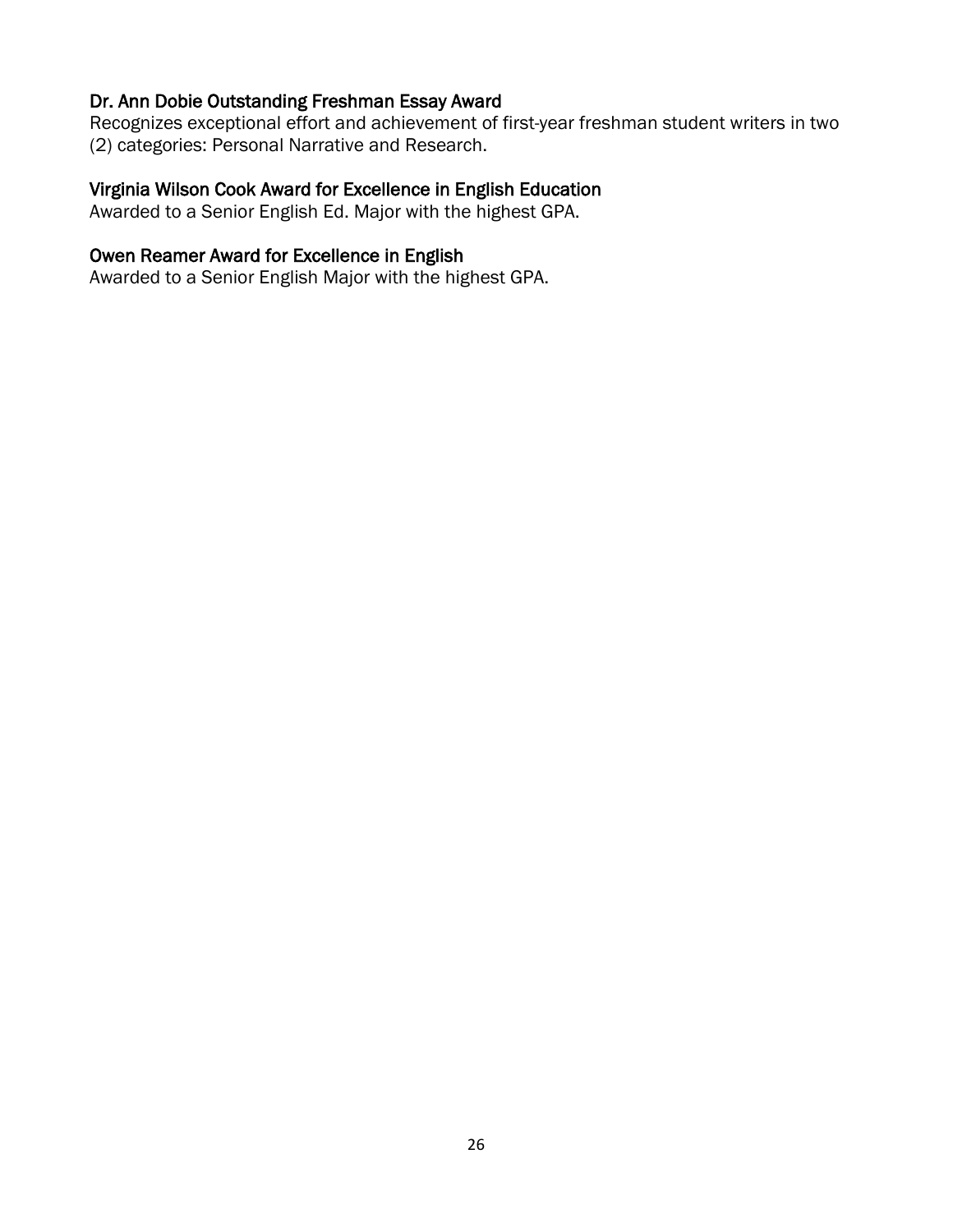#### Dr. Ann Dobie Outstanding Freshman Essay Award

Recognizes exceptional effort and achievement of first-year freshman student writers in two (2) categories: Personal Narrative and Research.

## Virginia Wilson Cook Award for Excellence in English Education

Awarded to a Senior English Ed. Major with the highest GPA.

### Owen Reamer Award for Excellence in English

Awarded to a Senior English Major with the highest GPA.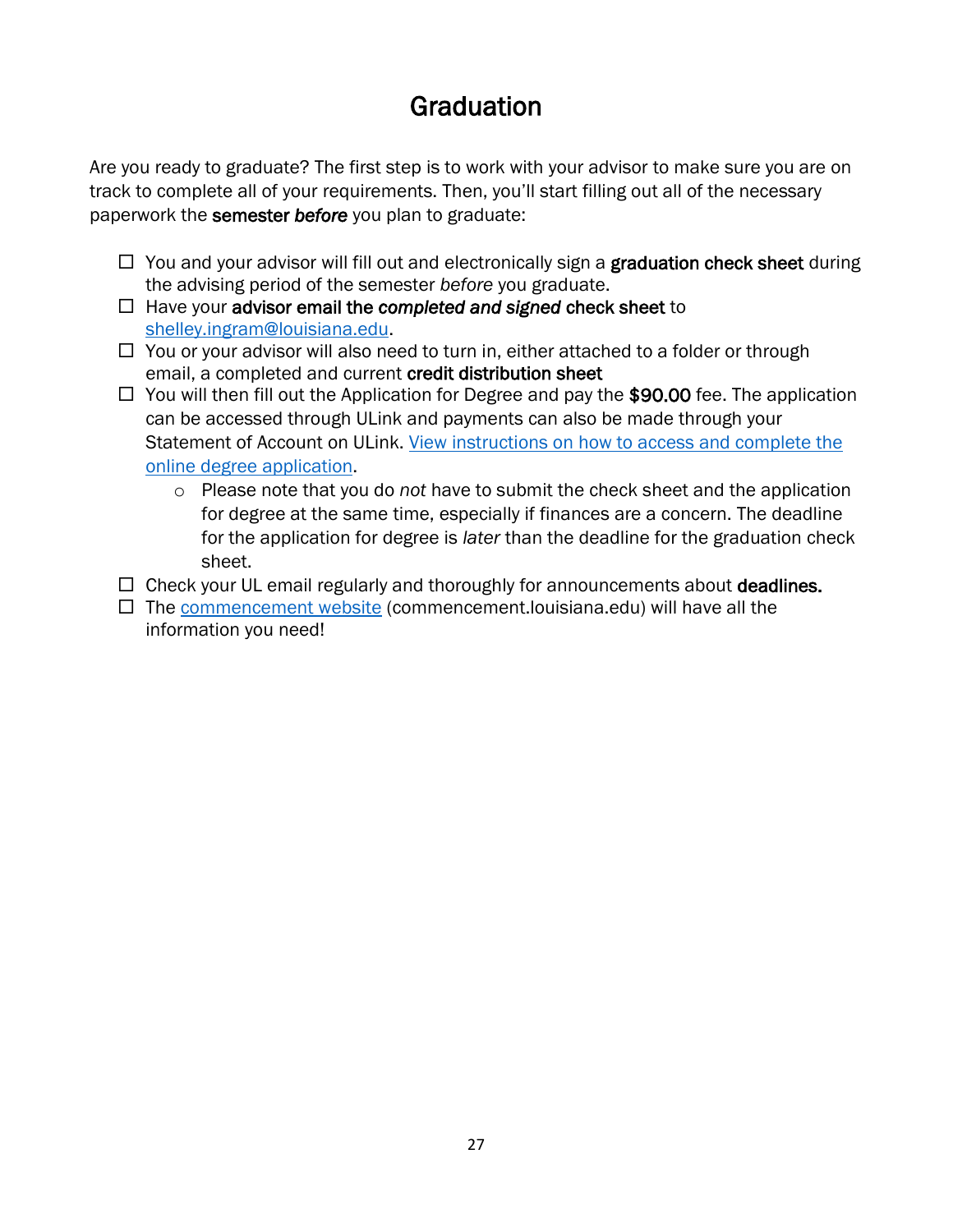## **Graduation**

<span id="page-26-0"></span>Are you ready to graduate? The first step is to work with your advisor to make sure you are on track to complete all of your requirements. Then, you'll start filling out all of the necessary paperwork the semester *before* you plan to graduate:

- $\Box$  You and your advisor will fill out and electronically sign a **graduation check sheet** during the advising period of the semester *before* you graduate.
- Have your advisor email the *completed and signed* check sheet to [shelley.ingram@louisiana.edu.](mailto:shelley.ingram@louisiana.edu)
- $\Box$  You or your advisor will also need to turn in, either attached to a folder or through email, a completed and current credit distribution sheet
- $\Box$  You will then fill out the Application for Degree and pay the \$90.00 fee. The application can be accessed through ULink and payments can also be made through your Statement of Account on ULink. [View instructions on how to access and complete the](https://moodle.louisiana.edu/mod/resource/view.php?id=1647997)  [online degree application.](https://moodle.louisiana.edu/mod/resource/view.php?id=1647997)
	- o Please note that you do *not* have to submit the check sheet and the application for degree at the same time, especially if finances are a concern. The deadline for the application for degree is *later* than the deadline for the graduation check sheet.
- $\Box$  Check your UL email regularly and thoroughly for announcements about **deadlines.**
- $\Box$  The [commencement website](file:///C:/Users/singr/AppData/Roaming/Microsoft/Word/commencement.louisiana.edu) (commencement.louisiana.edu) will have all the information you need!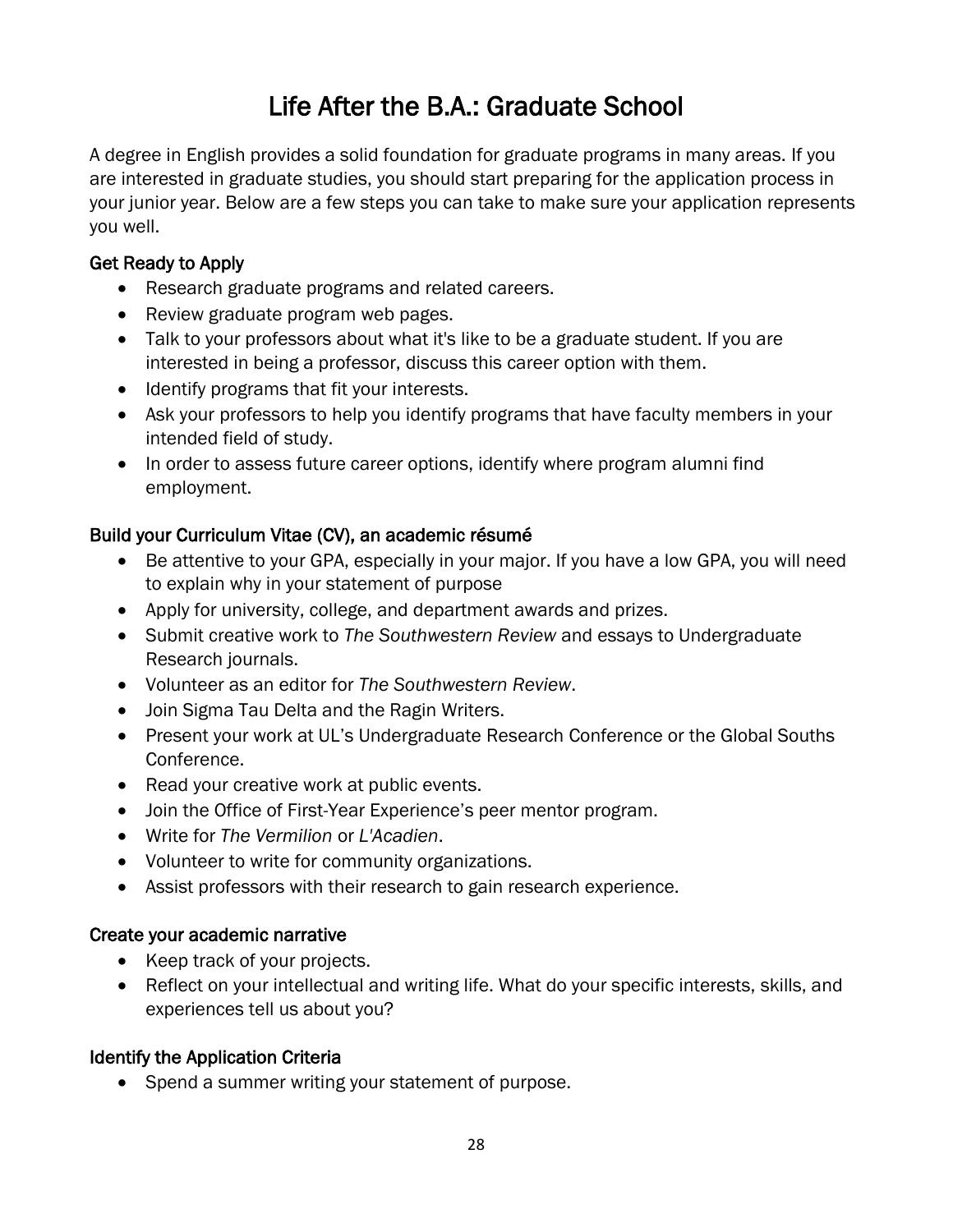## Life After the B.A.: Graduate School

<span id="page-27-0"></span>A degree in English provides a solid foundation for graduate programs in many areas. If you are interested in graduate studies, you should start preparing for the application process in your junior year. Below are a few steps you can take to make sure your application represents you well.

## Get Ready to Apply

- Research graduate programs and related careers.
- Review graduate program web pages.
- Talk to your professors about what it's like to be a graduate student. If you are interested in being a professor, discuss this career option with them.
- Identify programs that fit your interests.
- Ask your professors to help you identify programs that have faculty members in your intended field of study.
- In order to assess future career options, identify where program alumni find employment.

## Build your Curriculum Vitae (CV), an academic résumé

- Be attentive to your GPA, especially in your major. If you have a low GPA, you will need to explain why in your statement of purpose
- Apply for university, college, and department awards and prizes.
- Submit creative work to *The Southwestern Review* and essays to Undergraduate Research journals.
- Volunteer as an editor for *The Southwestern Review*.
- Join Sigma Tau Delta and the Ragin Writers.
- Present your work at UL's Undergraduate Research Conference or the Global Souths Conference.
- Read your creative work at public events.
- Join the Office of First-Year Experience's peer mentor program.
- Write for *The Vermilion* or *L'Acadien*.
- Volunteer to write for community organizations.
- Assist professors with their research to gain research experience.

## Create your academic narrative

- Keep track of your projects.
- Reflect on your intellectual and writing life. What do your specific interests, skills, and experiences tell us about you?

## Identify the Application Criteria

• Spend a summer writing your statement of purpose.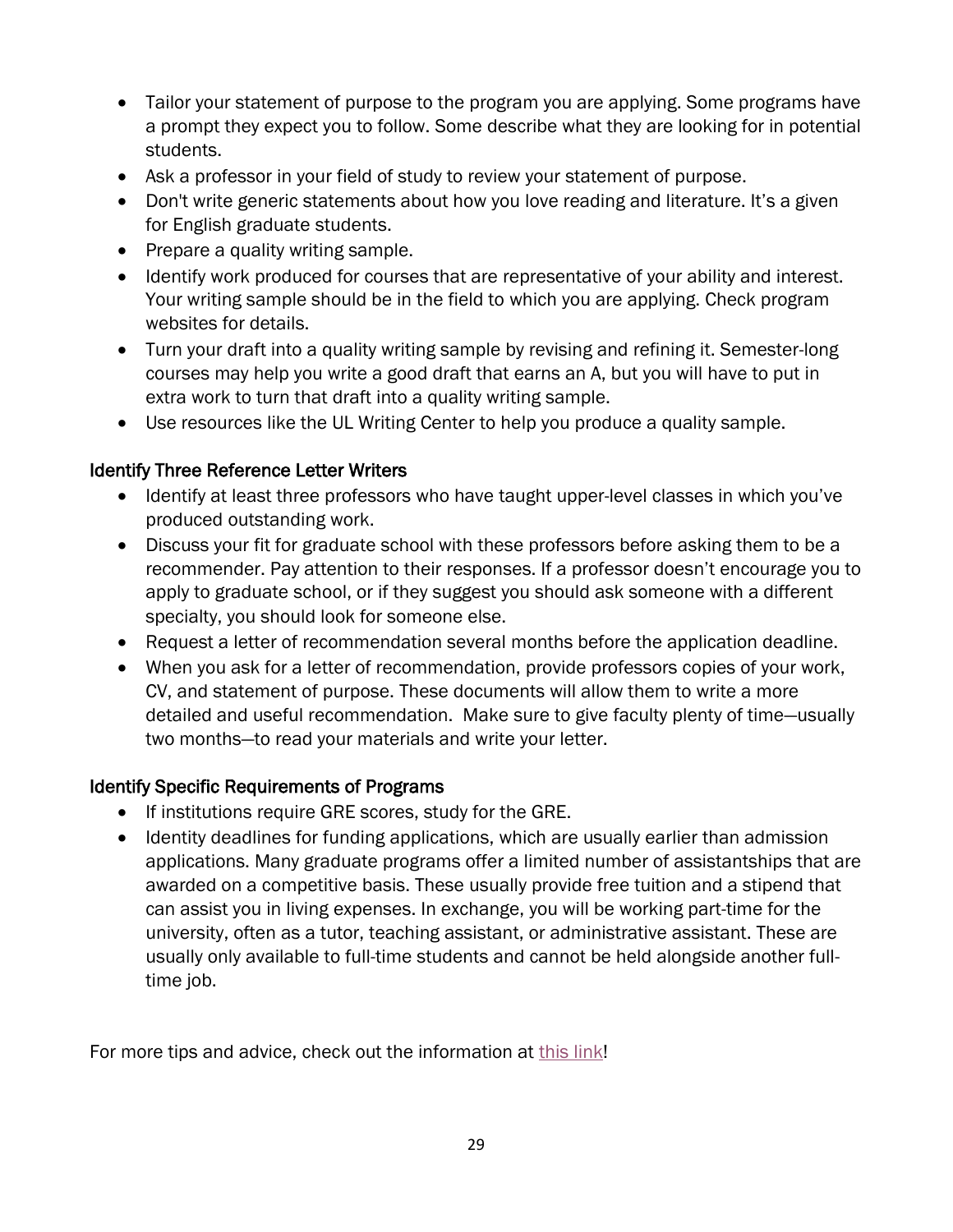- Tailor your statement of purpose to the program you are applying. Some programs have a prompt they expect you to follow. Some describe what they are looking for in potential students.
- Ask a professor in your field of study to review your statement of purpose.
- Don't write generic statements about how you love reading and literature. It's a given for English graduate students.
- Prepare a quality writing sample.
- Identify work produced for courses that are representative of your ability and interest. Your writing sample should be in the field to which you are applying. Check program websites for details.
- Turn your draft into a quality writing sample by revising and refining it. Semester-long courses may help you write a good draft that earns an A, but you will have to put in extra work to turn that draft into a quality writing sample.
- Use resources like the UL Writing Center to help you produce a quality sample.

## Identify Three Reference Letter Writers

- Identify at least three professors who have taught upper-level classes in which you've produced outstanding work.
- Discuss your fit for graduate school with these professors before asking them to be a recommender. Pay attention to their responses. If a professor doesn't encourage you to apply to graduate school, or if they suggest you should ask someone with a different specialty, you should look for someone else.
- Request a letter of recommendation several months before the application deadline.
- When you ask for a letter of recommendation, provide professors copies of your work, CV, and statement of purpose. These documents will allow them to write a more detailed and useful recommendation. Make sure to give faculty plenty of time—usually two months—to read your materials and write your letter.

## Identify Specific Requirements of Programs

- If institutions require GRE scores, study for the GRE.
- Identity deadlines for funding applications, which are usually earlier than admission applications. Many graduate programs offer a limited number of assistantships that are awarded on a competitive basis. These usually provide free tuition and a stipend that can assist you in living expenses. In exchange, you will be working part-time for the university, often as a tutor, teaching assistant, or administrative assistant. These are usually only available to full-time students and cannot be held alongside another fulltime job.

For more tips and advice, check out the information at [this link!](https://guide.profwrite.com/doku.php?id=english_major_s_guide_to_graduate_school)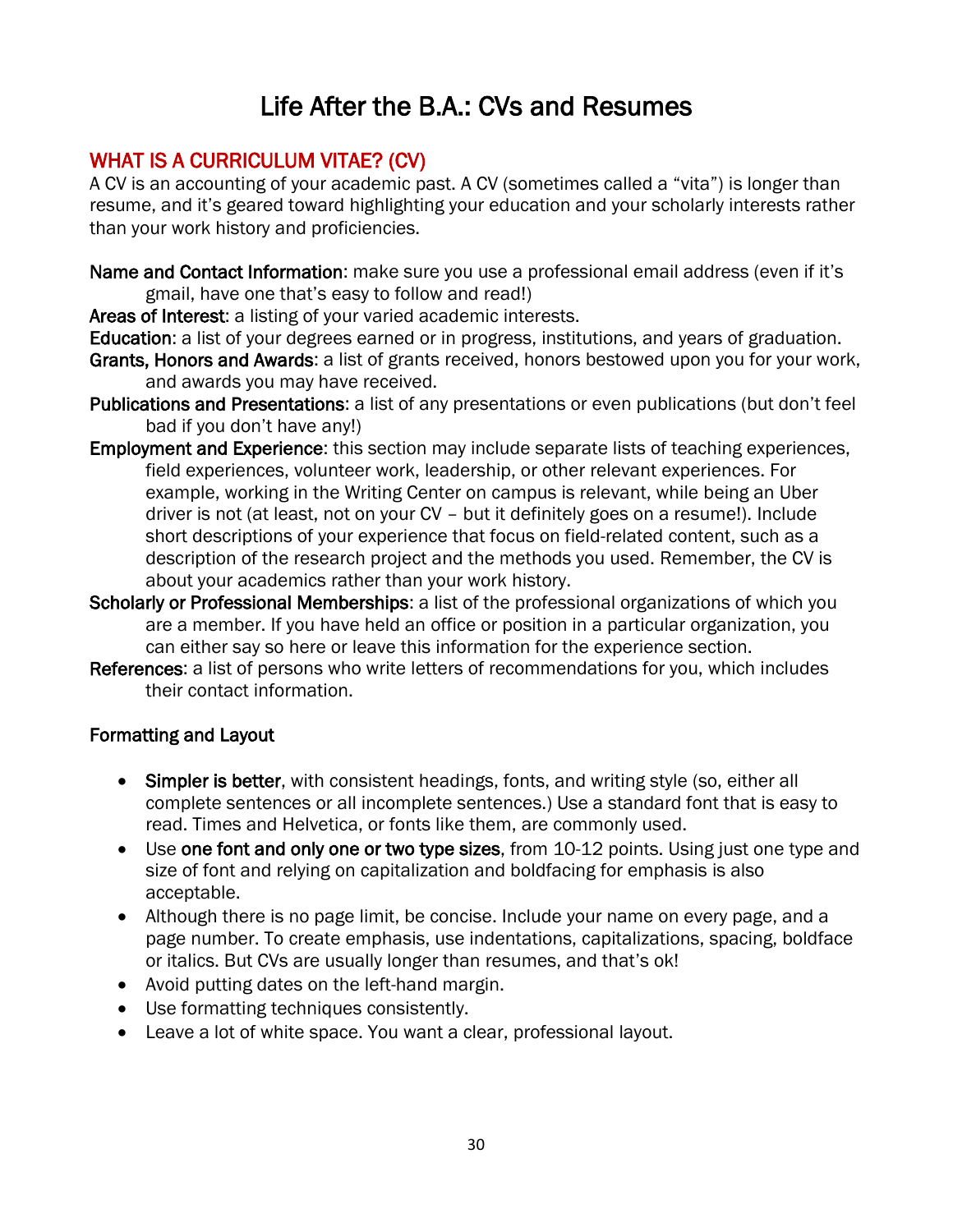## Life After the B.A.: CVs and Resumes

## <span id="page-29-0"></span>WHAT IS A CURRICULUM VITAE? (CV)

A CV is an accounting of your academic past. A CV (sometimes called a "vita") is longer than resume, and it's geared toward highlighting your education and your scholarly interests rather than your work history and proficiencies.

Name and Contact Information: make sure you use a professional email address (even if it's gmail, have one that's easy to follow and read!)

Areas of Interest: a listing of your varied academic interests.

Education: a list of your degrees earned or in progress, institutions, and years of graduation.

- Grants, Honors and Awards: a list of grants received, honors bestowed upon you for your work, and awards you may have received.
- Publications and Presentations: a list of any presentations or even publications (but don't feel bad if you don't have any!)
- Employment and Experience: this section may include separate lists of teaching experiences, field experiences, volunteer work, leadership, or other relevant experiences. For example, working in the Writing Center on campus is relevant, while being an Uber driver is not (at least, not on your CV – but it definitely goes on a resume!). Include short descriptions of your experience that focus on field-related content, such as a description of the research project and the methods you used. Remember, the CV is about your academics rather than your work history.
- Scholarly or Professional Memberships: a list of the professional organizations of which you are a member. If you have held an office or position in a particular organization, you can either say so here or leave this information for the experience section.
- References: a list of persons who write letters of recommendations for you, which includes their contact information.

## Formatting and Layout

- Simpler is better, with consistent headings, fonts, and writing style (so, either all complete sentences or all incomplete sentences.) Use a standard font that is easy to read. Times and Helvetica, or fonts like them, are commonly used.
- Use one font and only one or two type sizes, from 10-12 points. Using just one type and size of font and relying on capitalization and boldfacing for emphasis is also acceptable.
- Although there is no page limit, be concise. Include your name on every page, and a page number. To create emphasis, use indentations, capitalizations, spacing, boldface or italics. But CVs are usually longer than resumes, and that's ok!
- Avoid putting dates on the left-hand margin.
- Use formatting techniques consistently.
- Leave a lot of white space. You want a clear, professional layout.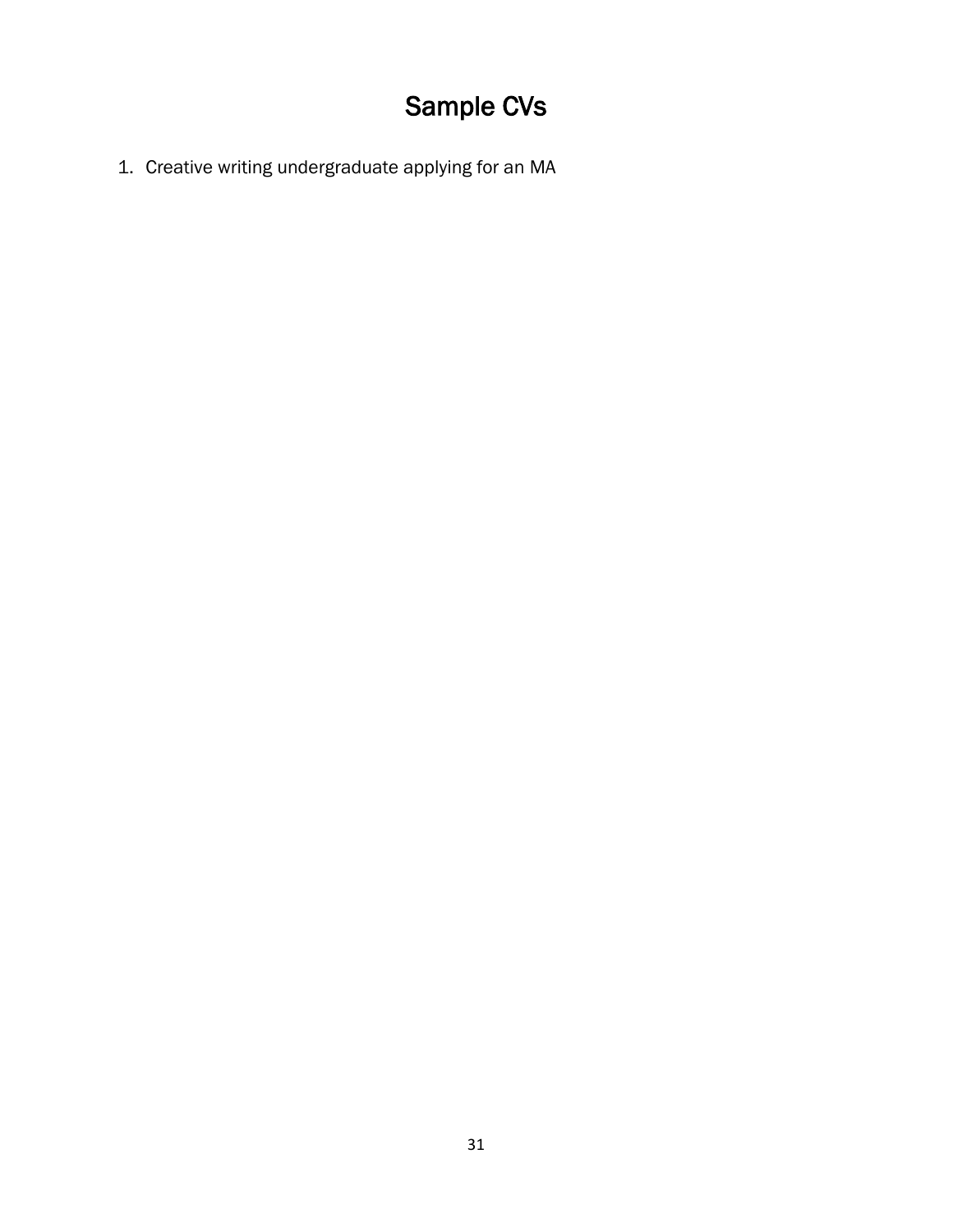## Sample CVs

<span id="page-30-0"></span>1. Creative writing undergraduate applying for an MA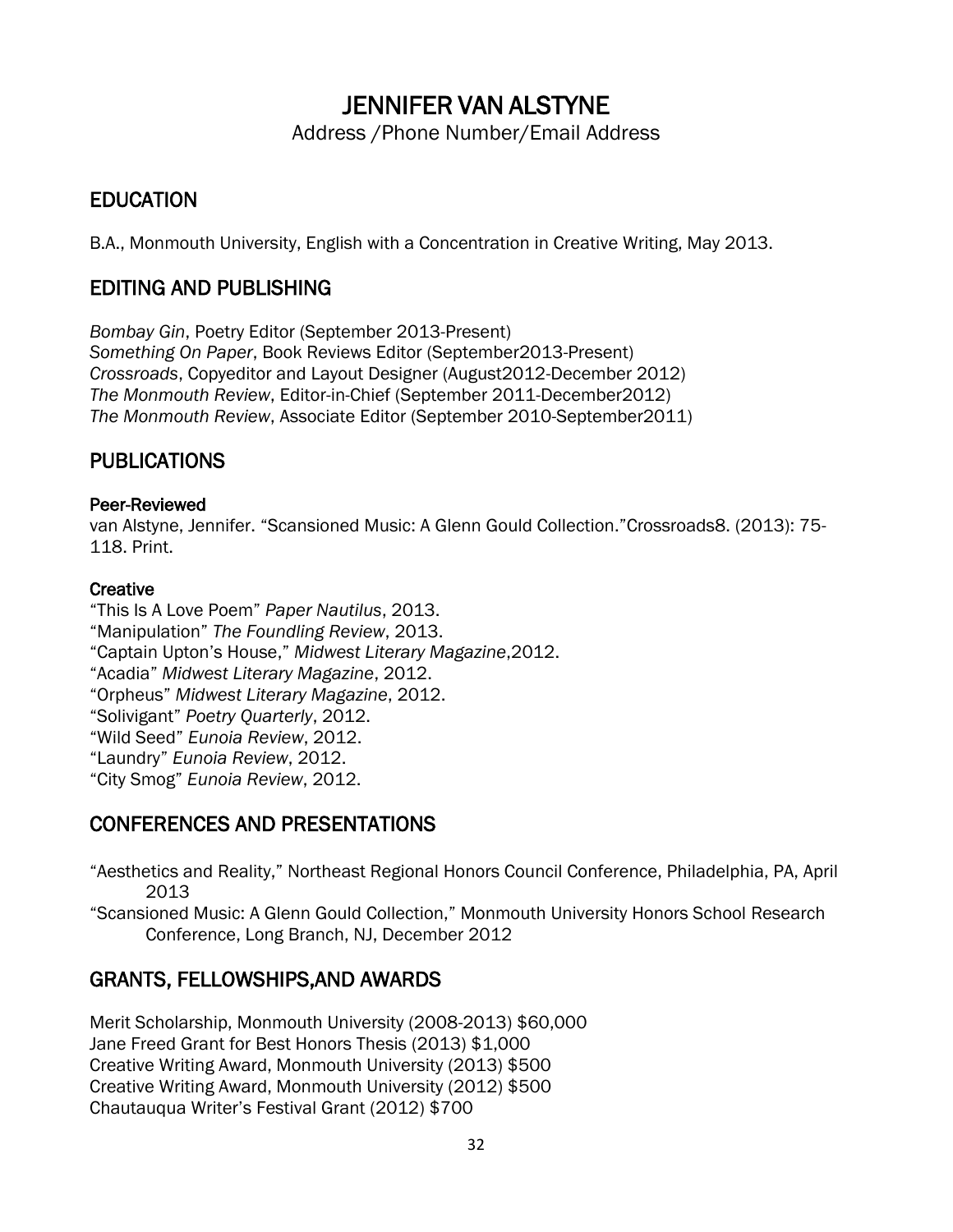## JENNIFER VAN ALSTYNE

Address /Phone Number/Email Address

## **EDUCATION**

B.A., Monmouth University, English with a Concentration in Creative Writing, May 2013.

## EDITING AND PUBLISHING

*Bombay Gin*, Poetry Editor (September 2013-Present) *Something On Paper*, Book Reviews Editor (September2013-Present) *Crossroads*, Copyeditor and Layout Designer (August2012-December 2012) *The Monmouth Review*, Editor-in-Chief (September 2011-December2012) *The Monmouth Review*, Associate Editor (September 2010-September2011)

## PUBLICATIONS

#### Peer-Reviewed

van Alstyne, Jennifer. "Scansioned Music: A Glenn Gould Collection."Crossroads8. (2013): 75- 118. Print.

#### **Creative**

"This Is A Love Poem" *Paper Nautilus*, 2013. "Manipulation" *The Foundling Review*, 2013. "Captain Upton's House," *Midwest Literary Magazine*,2012. "Acadia" *Midwest Literary Magazine*, 2012. "Orpheus" *Midwest Literary Magazine*, 2012. "Solivigant" *Poetry Quarterly*, 2012. "Wild Seed" *Eunoia Review*, 2012. "Laundry" *Eunoia Review*, 2012. "City Smog" *Eunoia Review*, 2012.

## CONFERENCES AND PRESENTATIONS

"Aesthetics and Reality," Northeast Regional Honors Council Conference, Philadelphia, PA, April 2013

"Scansioned Music: A Glenn Gould Collection," Monmouth University Honors School Research Conference, Long Branch, NJ, December 2012

## GRANTS, FELLOWSHIPS,AND AWARDS

Merit Scholarship, Monmouth University (2008-2013) \$60,000 Jane Freed Grant for Best Honors Thesis (2013) \$1,000 Creative Writing Award, Monmouth University (2013) \$500 Creative Writing Award, Monmouth University (2012) \$500 Chautauqua Writer's Festival Grant (2012) \$700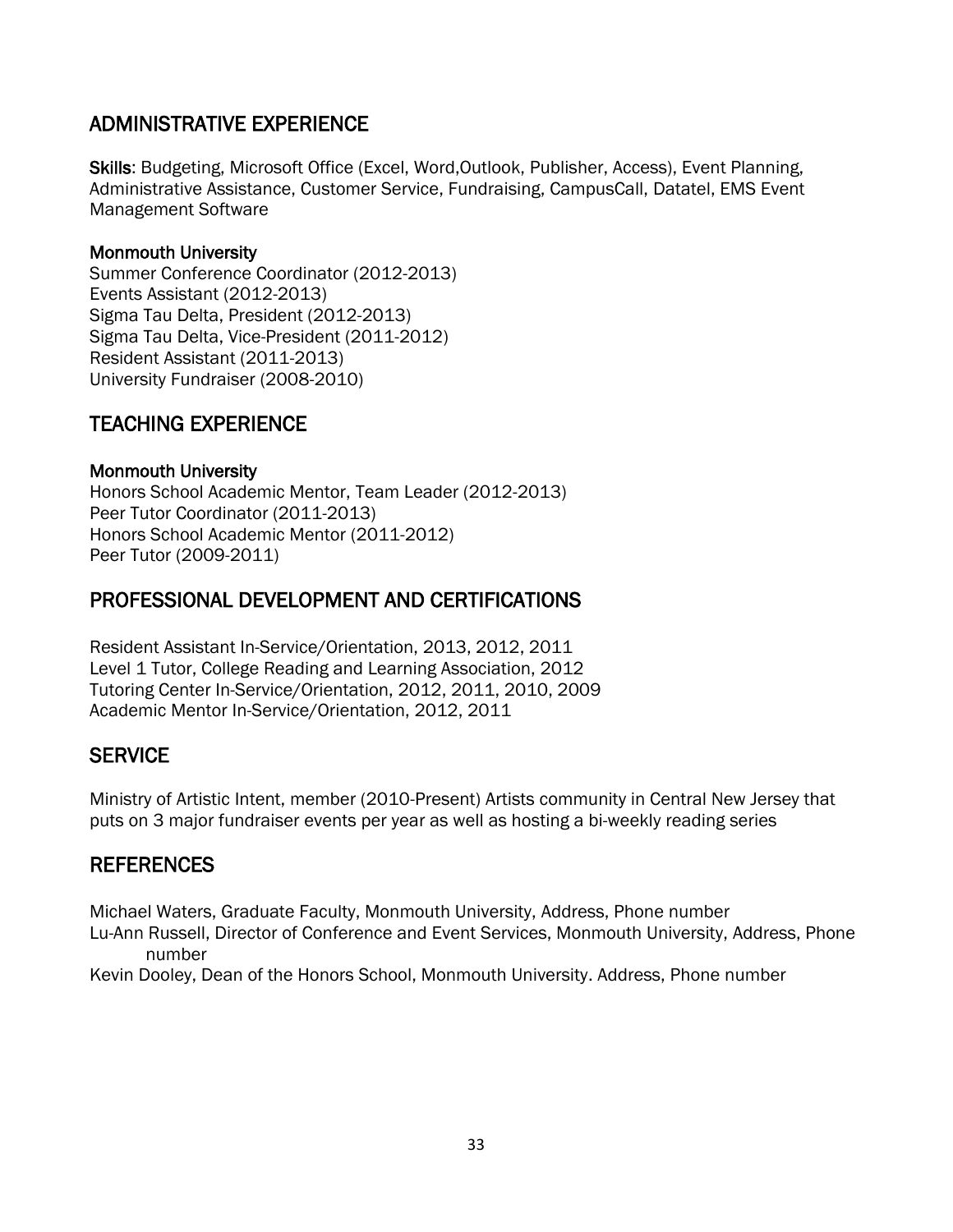## ADMINISTRATIVE EXPERIENCE

Skills: Budgeting, Microsoft Office (Excel, Word,Outlook, Publisher, Access), Event Planning, Administrative Assistance, Customer Service, Fundraising, CampusCall, Datatel, EMS Event Management Software

#### Monmouth University

Summer Conference Coordinator (2012-2013) Events Assistant (2012-2013) Sigma Tau Delta, President (2012-2013) Sigma Tau Delta, Vice-President (2011-2012) Resident Assistant (2011-2013) University Fundraiser (2008-2010)

## TEACHING EXPERIENCE

#### Monmouth University

Honors School Academic Mentor, Team Leader (2012-2013) Peer Tutor Coordinator (2011-2013) Honors School Academic Mentor (2011-2012) Peer Tutor (2009-2011)

## PROFESSIONAL DEVELOPMENT AND CERTIFICATIONS

Resident Assistant In-Service/Orientation, 2013, 2012, 2011 Level 1 Tutor, College Reading and Learning Association, 2012 Tutoring Center In-Service/Orientation, 2012, 2011, 2010, 2009 Academic Mentor In-Service/Orientation, 2012, 2011

## **SERVICE**

Ministry of Artistic Intent, member (2010-Present) Artists community in Central New Jersey that puts on 3 major fundraiser events per year as well as hosting a bi-weekly reading series

## REFERENCES

Michael Waters, Graduate Faculty, Monmouth University, Address, Phone number Lu-Ann Russell, Director of Conference and Event Services, Monmouth University, Address, Phone number

Kevin Dooley, Dean of the Honors School, Monmouth University. Address, Phone number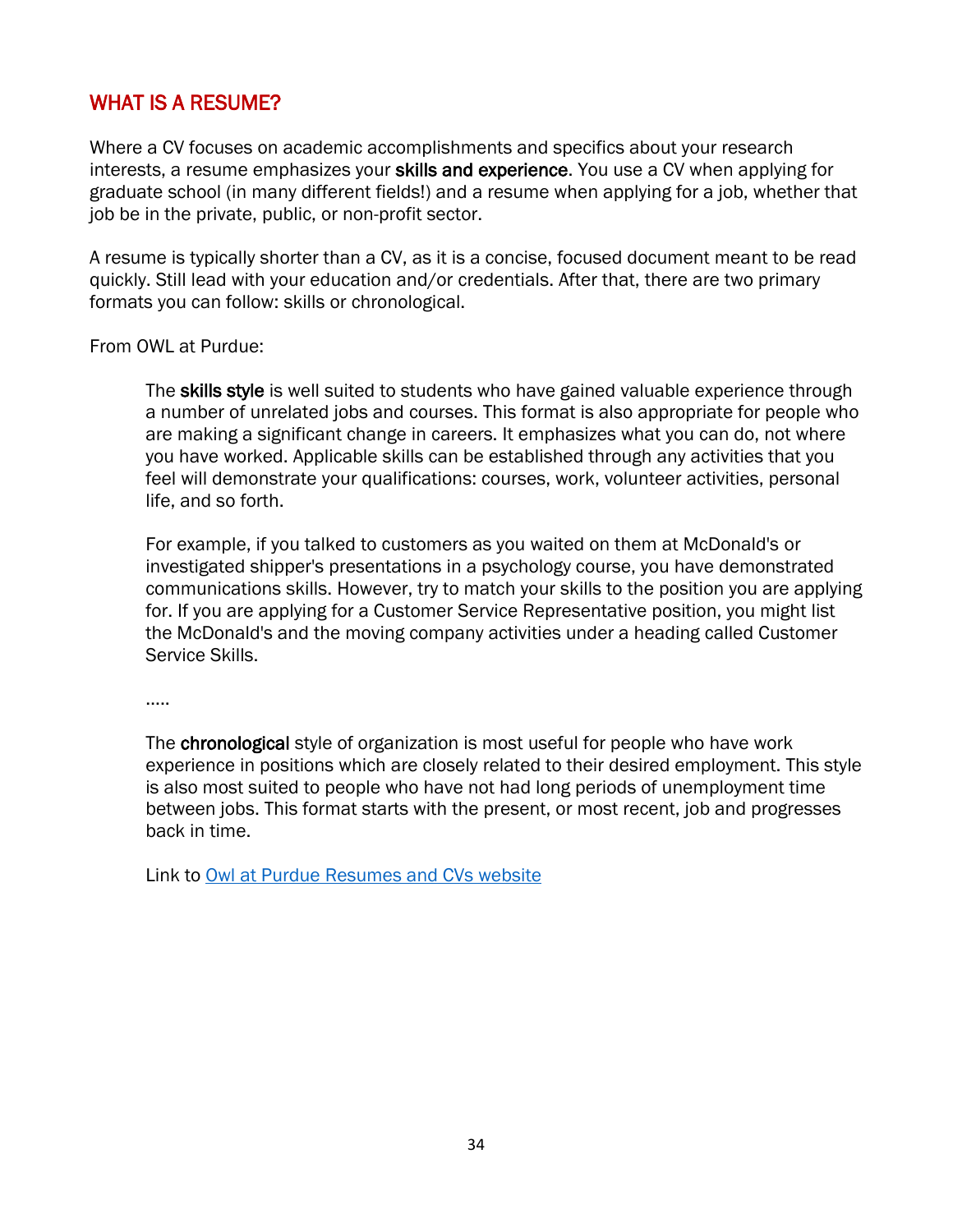## WHAT IS A RESUME?

Where a CV focuses on academic accomplishments and specifics about your research interests, a resume emphasizes your skills and experience. You use a CV when applying for graduate school (in many different fields!) and a resume when applying for a job, whether that job be in the private, public, or non-profit sector.

A resume is typically shorter than a CV, as it is a concise, focused document meant to be read quickly. Still lead with your education and/or credentials. After that, there are two primary formats you can follow: skills or chronological.

From OWL at Purdue:

The skills style is well suited to students who have gained valuable experience through a number of unrelated jobs and courses. This format is also appropriate for people who are making a significant change in careers. It emphasizes what you can do, not where you have worked. Applicable skills can be established through any activities that you feel will demonstrate your qualifications: courses, work, volunteer activities, personal life, and so forth.

For example, if you talked to customers as you waited on them at McDonald's or investigated shipper's presentations in a psychology course, you have demonstrated communications skills. However, try to match your skills to the position you are applying for. If you are applying for a Customer Service Representative position, you might list the McDonald's and the moving company activities under a heading called Customer Service Skills.

…..

The chronological style of organization is most useful for people who have work experience in positions which are closely related to their desired employment. This style is also most suited to people who have not had long periods of unemployment time between jobs. This format starts with the present, or most recent, job and progresses back in time.

Link to [Owl at Purdue Resumes and CVs website](https://owl.purdue.edu/owl/job_search_writing/resumes_and_vitas/index.html)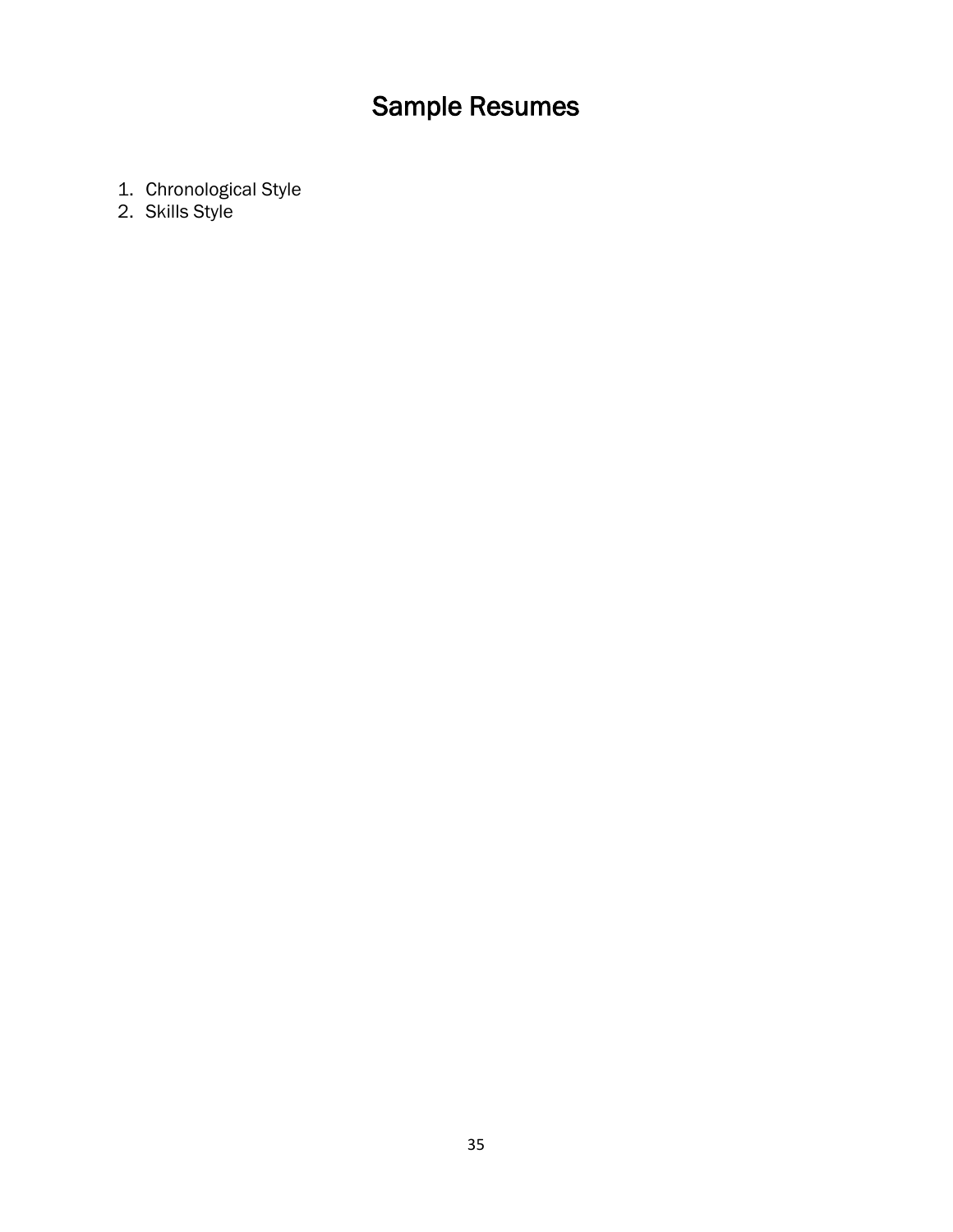## Sample Resumes

- <span id="page-34-0"></span>1. Chronological Style
- 2. Skills Style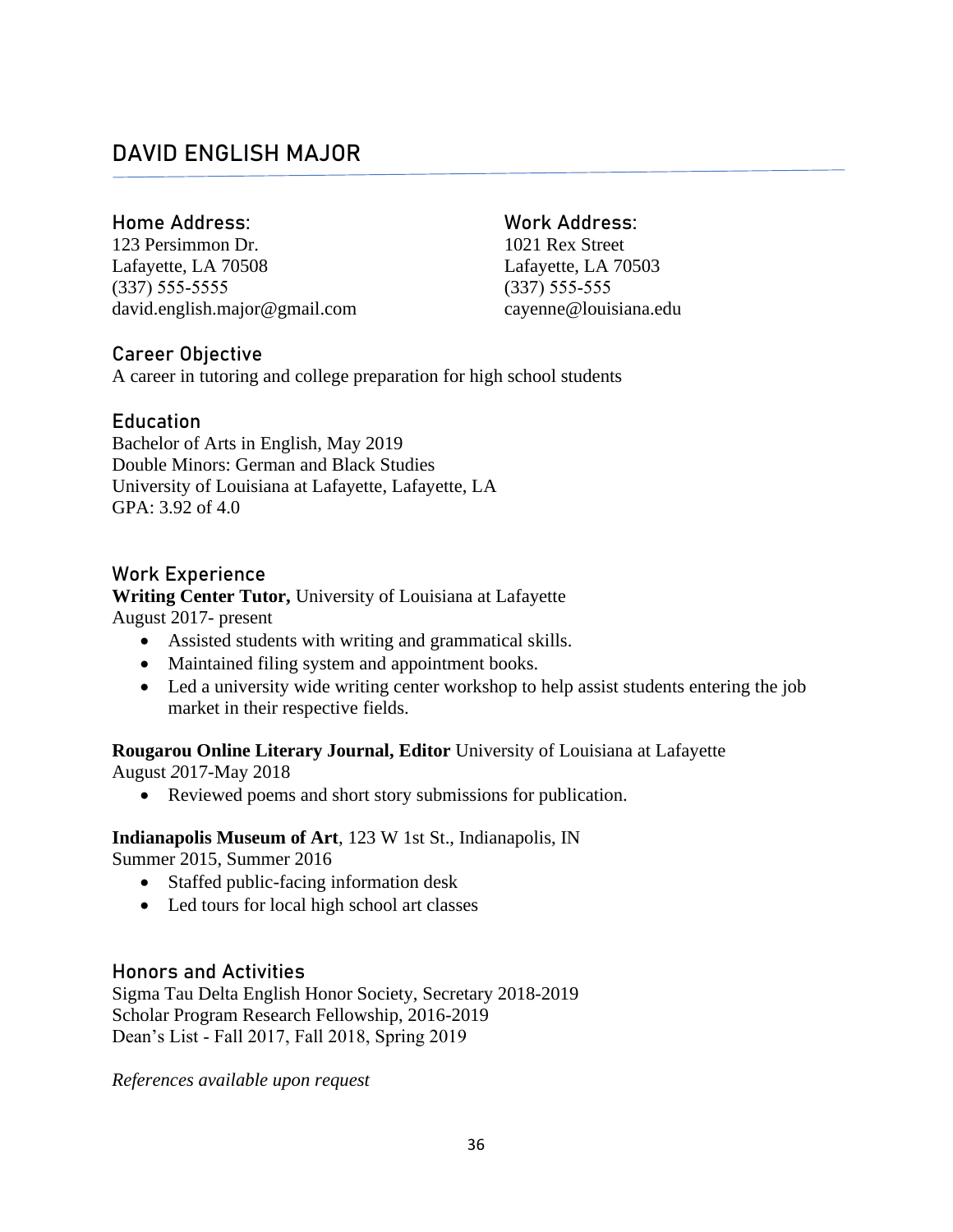## **DAVID ENGLISH MAJOR**

#### **Home Address: Work Address:**

123 Persimmon Dr. 1021 Rex Street Lafayette, LA 70508 Lafayette, LA 70503 (337) 555‐5555 (337) 555‐555 david.english.major@gmail.com cayenne@louisiana.edu

## **Career Objective**

A career in tutoring and college preparation for high school students

#### **Education**

Bachelor of Arts in English, May 2019 Double Minors: German and Black Studies University of Louisiana at Lafayette, Lafayette, LA GPA: 3.92 of 4.0

#### **Work Experience**

#### **Writing Center Tutor,** University of Louisiana at Lafayette August 2017- present

- Assisted students with writing and grammatical skills.
- Maintained filing system and appointment books.
- Led a university wide writing center workshop to help assist students entering the job market in their respective fields.

#### **Rougarou Online Literary Journal, Editor** University of Louisiana at Lafayette August *2*017-May 2018

• Reviewed poems and short story submissions for publication.

#### **Indianapolis Museum of Art**, 123 W 1st St., Indianapolis, IN

Summer 2015, Summer 2016

- Staffed public-facing information desk
- Led tours for local high school art classes

#### **Honors and Activities**

Sigma Tau Delta English Honor Society, Secretary 2018-2019 Scholar Program Research Fellowship, 2016-2019 Dean's List ‐ Fall 2017, Fall 2018, Spring 2019

*References available upon request*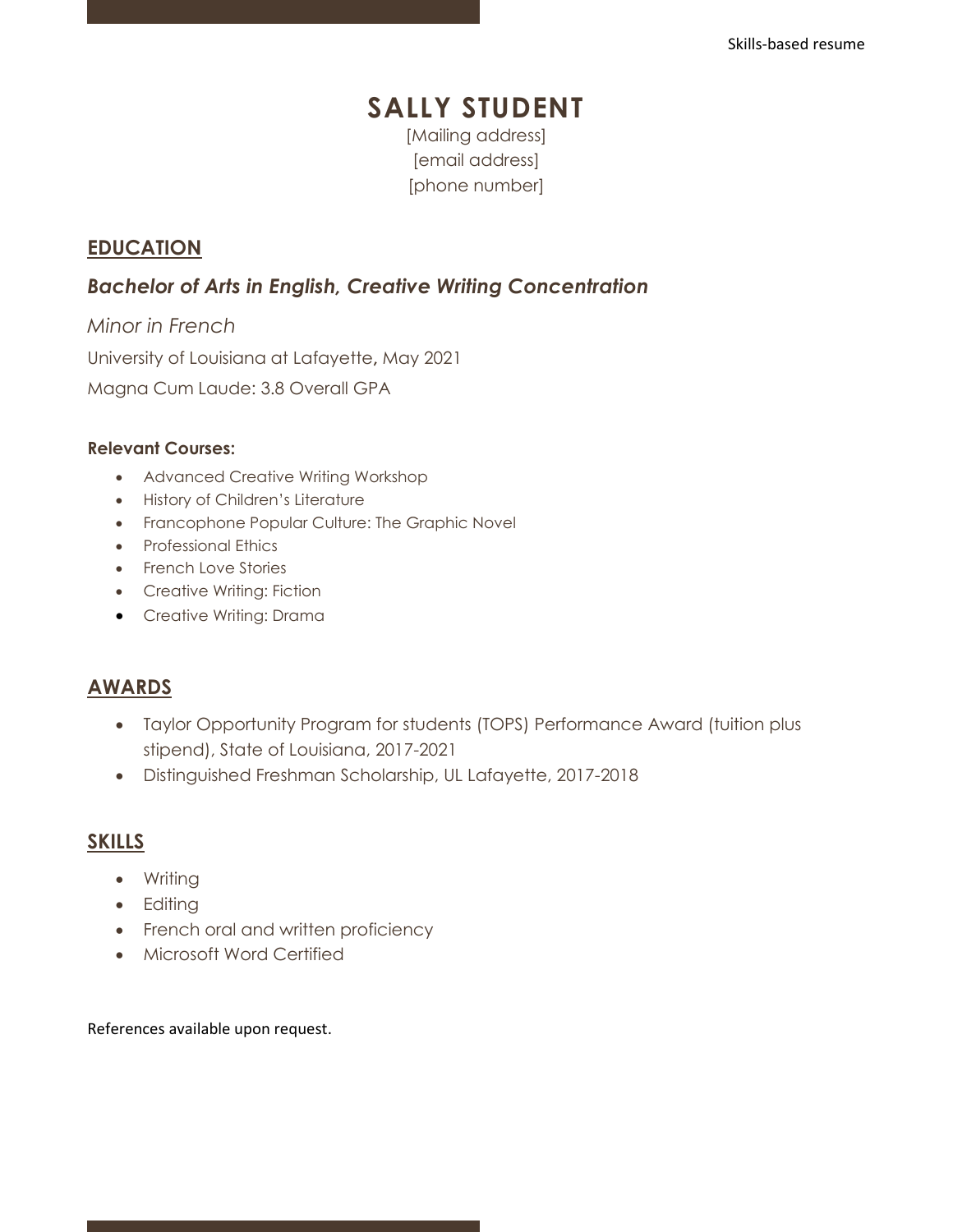## **SALLY STUDENT** [Mailing address]

[email address] [phone number]

## **EDUCATION**

## *Bachelor of Arts in English, Creative Writing Concentration*

*Minor in French* University of Louisiana at Lafayette**,** May 2021 Magna Cum Laude: 3.8 Overall GPA

#### **Relevant Courses:**

- Advanced Creative Writing Workshop
- History of Children's Literature
- Francophone Popular Culture: The Graphic Novel
- Professional Ethics
- French Love Stories
- Creative Writing: Fiction
- Creative Writing: Drama

## **AWARDS**

- Taylor Opportunity Program for students (TOPS) Performance Award (tuition plus stipend), State of Louisiana, 2017-2021
- Distinguished Freshman Scholarship, UL Lafayette, 2017-2018

## **SKILLS**

- Writing
- Editing
- French oral and written proficiency
- Microsoft Word Certified

References available upon request.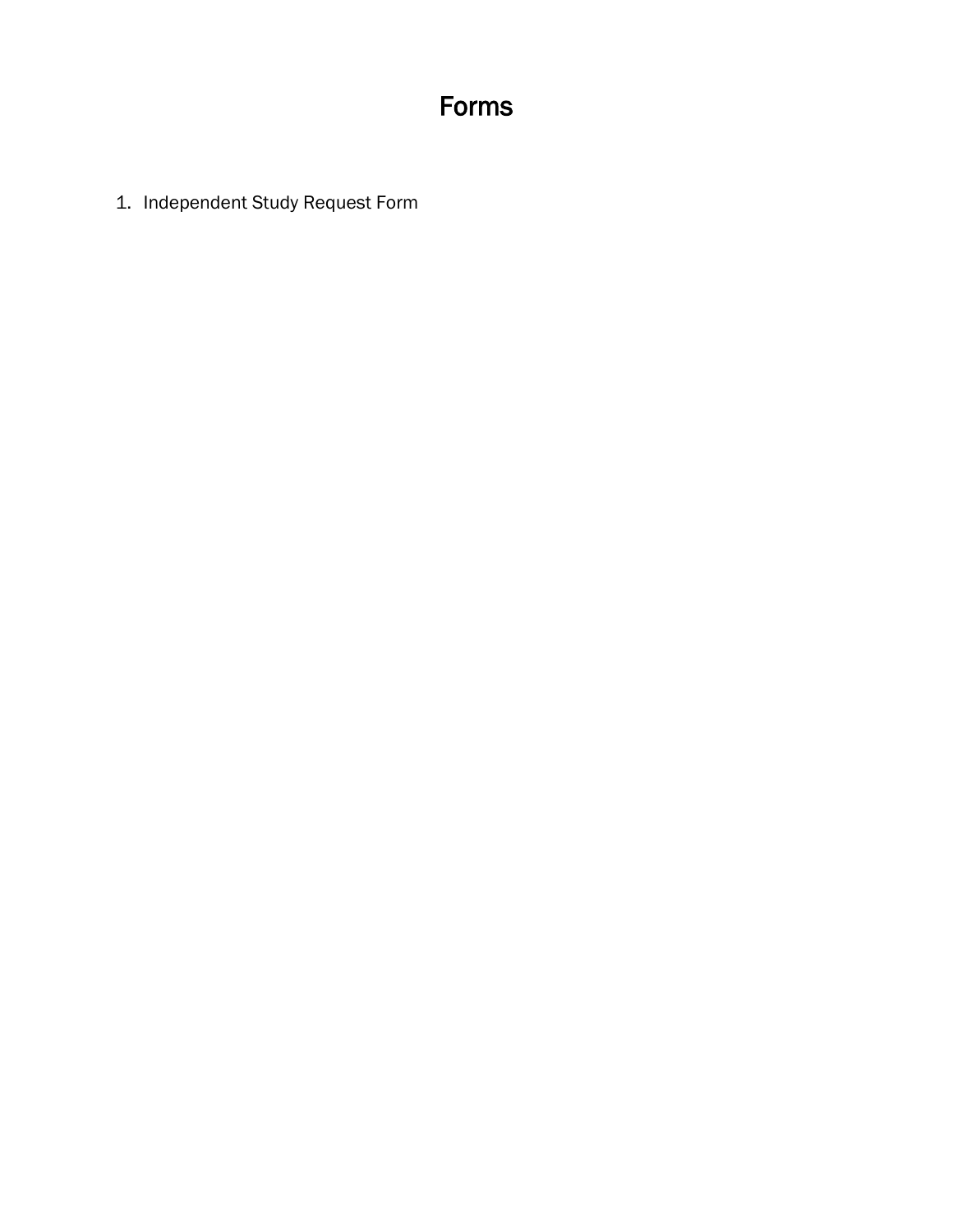## Forms

<span id="page-37-0"></span>1. Independent Study Request Form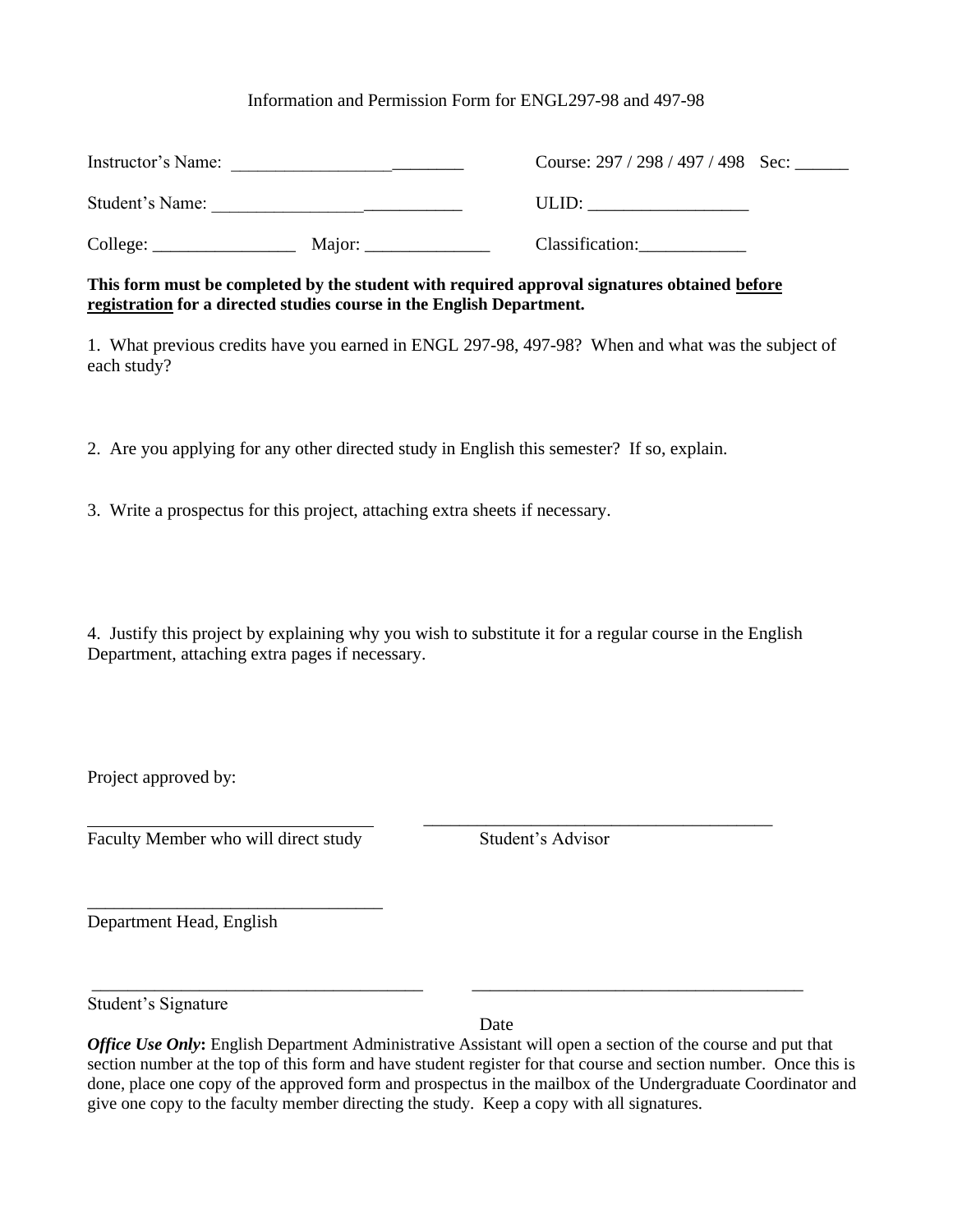#### Information and Permission Form for ENGL297-98 and 497-98

| Instructor's Name: |        | Course: $297 / 298 / 497 / 498$ Sec: |  |  |
|--------------------|--------|--------------------------------------|--|--|
| Student's Name:    |        | ULID:                                |  |  |
| College:           | Major: | Classification:                      |  |  |

**This form must be completed by the student with required approval signatures obtained before registration for a directed studies course in the English Department.**

1. What previous credits have you earned in ENGL 297-98, 497-98? When and what was the subject of each study?

2. Are you applying for any other directed study in English this semester? If so, explain.

3. Write a prospectus for this project, attaching extra sheets if necessary.

4. Justify this project by explaining why you wish to substitute it for a regular course in the English Department, attaching extra pages if necessary.

\_\_\_\_\_\_\_\_\_\_\_\_\_\_\_\_\_\_\_\_\_\_\_\_\_\_\_\_\_\_\_\_\_\_\_\_\_\_\_

Project approved by:

Faculty Member who will direct study Student's Advisor

\_\_\_\_\_\_\_\_\_\_\_\_\_\_\_\_\_\_\_\_\_\_\_\_\_\_\_\_\_\_\_\_\_

Department Head, English

Student's Signature

Date

*Office Use Only*: English Department Administrative Assistant will open a section of the course and put that section number at the top of this form and have student register for that course and section number. Once this is done, place one copy of the approved form and prospectus in the mailbox of the Undergraduate Coordinator and give one copy to the faculty member directing the study. Keep a copy with all signatures.

\_\_\_\_\_\_\_\_\_\_\_\_\_\_\_\_\_\_\_\_\_\_\_\_\_\_\_\_\_\_\_\_\_\_\_\_\_ \_\_\_\_\_\_\_\_\_\_\_\_\_\_\_\_\_\_\_\_\_\_\_\_\_\_\_\_\_\_\_\_\_\_\_\_\_